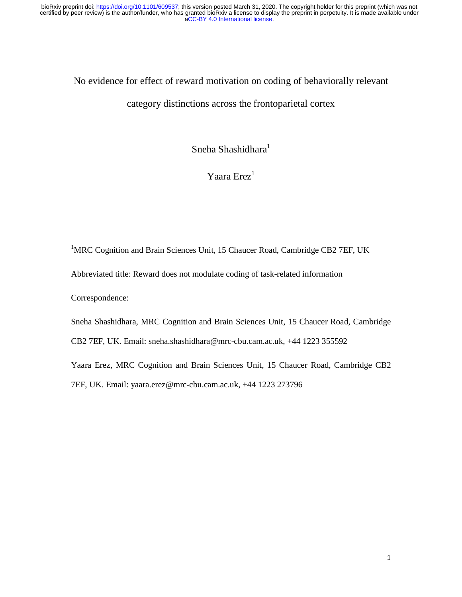No evidence for effect of reward motivation on coding of behaviorally relevant

category distinctions across the frontoparietal cortex

Sneha Shashidhara<sup>1</sup>

Yaara Erez<sup>1</sup>

<sup>1</sup>MRC Cognition and Brain Sciences Unit, 15 Chaucer Road, Cambridge CB2 7EF, UK

Abbreviated title: Reward does not modulate coding of task-related information

Correspondence:

Sneha Shashidhara, MRC Cognition and Brain Sciences Unit, 15 Chaucer Road, Cambridge CB2 7EF, UK. Email: sneha.shashidhara@mrc-cbu.cam.ac.uk, +44 1223 355592

Yaara Erez, MRC Cognition and Brain Sciences Unit, 15 Chaucer Road, Cambridge CB2 7EF, UK. Email: yaara.erez@mrc-cbu.cam.ac.uk, +44 1223 273796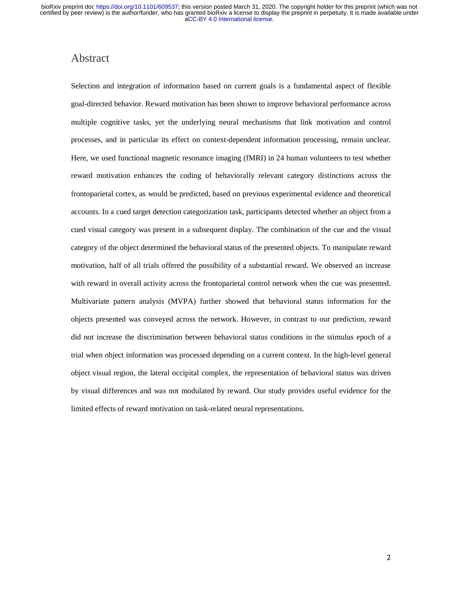# Abstract

Selection and integration of information based on current goals is a fundamental aspect of flexible goal-directed behavior. Reward motivation has been shown to improve behavioral performance across multiple cognitive tasks, yet the underlying neural mechanisms that link motivation and control processes, and in particular its effect on context-dependent information processing, remain unclear. Here, we used functional magnetic resonance imaging (fMRI) in 24 human volunteers to test whether reward motivation enhances the coding of behaviorally relevant category distinctions across the frontoparietal cortex, as would be predicted, based on previous experimental evidence and theoretical accounts. In a cued target detection categorization task, participants detected whether an object from a cued visual category was present in a subsequent display. The combination of the cue and the visual category of the object determined the behavioral status of the presented objects. To manipulate reward motivation, half of all trials offered the possibility of a substantial reward. We observed an increase with reward in overall activity across the frontoparietal control network when the cue was presented. Multivariate pattern analysis (MVPA) further showed that behavioral status information for the objects presented was conveyed across the network. However, in contrast to our prediction, reward did not increase the discrimination between behavioral status conditions in the stimulus epoch of a trial when object information was processed depending on a current context. In the high-level general object visual region, the lateral occipital complex, the representation of behavioral status was driven by visual differences and was not modulated by reward. Our study provides useful evidence for the limited effects of reward motivation on task-related neural representations.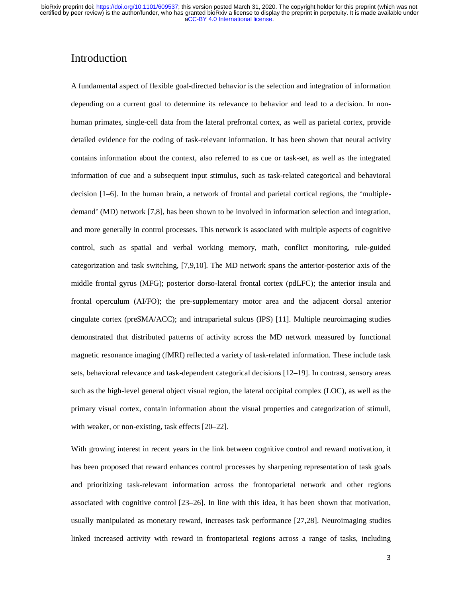# Introduction

A fundamental aspect of flexible goal-directed behavior is the selection and integration of information depending on a current goal to determine its relevance to behavior and lead to a decision. In nonhuman primates, single-cell data from the lateral prefrontal cortex, as well as parietal cortex, provide detailed evidence for the coding of task-relevant information. It has been shown that neural activity contains information about the context, also referred to as cue or task-set, as well as the integrated information of cue and a subsequent input stimulus, such as task-related categorical and behavioral decision [1–6]. In the human brain, a network of frontal and parietal cortical regions, the 'multipledemand' (MD) network [7,8], has been shown to be involved in information selection and integration, and more generally in control processes. This network is associated with multiple aspects of cognitive control, such as spatial and verbal working memory, math, conflict monitoring, rule-guided categorization and task switching, [7,9,10]. The MD network spans the anterior-posterior axis of the middle frontal gyrus (MFG); posterior dorso-lateral frontal cortex (pdLFC); the anterior insula and frontal operculum (AI/FO); the pre-supplementary motor area and the adjacent dorsal anterior cingulate cortex (preSMA/ACC); and intraparietal sulcus (IPS) [11]. Multiple neuroimaging studies demonstrated that distributed patterns of activity across the MD network measured by functional magnetic resonance imaging (fMRI) reflected a variety of task-related information. These include task sets, behavioral relevance and task-dependent categorical decisions [12–19]. In contrast, sensory areas such as the high-level general object visual region, the lateral occipital complex (LOC), as well as the primary visual cortex, contain information about the visual properties and categorization of stimuli, with weaker, or non-existing, task effects [20–22].

With growing interest in recent years in the link between cognitive control and reward motivation, it has been proposed that reward enhances control processes by sharpening representation of task goals and prioritizing task-relevant information across the frontoparietal network and other regions associated with cognitive control [23–26]. In line with this idea, it has been shown that motivation, usually manipulated as monetary reward, increases task performance [27,28]. Neuroimaging studies linked increased activity with reward in frontoparietal regions across a range of tasks, including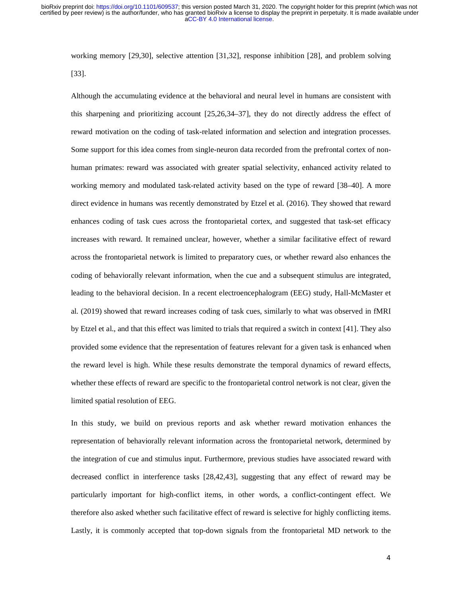working memory [29,30], selective attention [31,32], response inhibition [28], and problem solving [33].

Although the accumulating evidence at the behavioral and neural level in humans are consistent with this sharpening and prioritizing account [25,26,34–37], they do not directly address the effect of reward motivation on the coding of task-related information and selection and integration processes. Some support for this idea comes from single-neuron data recorded from the prefrontal cortex of nonhuman primates: reward was associated with greater spatial selectivity, enhanced activity related to working memory and modulated task-related activity based on the type of reward [38–40]. A more direct evidence in humans was recently demonstrated by Etzel et al. (2016). They showed that reward enhances coding of task cues across the frontoparietal cortex, and suggested that task-set efficacy increases with reward. It remained unclear, however, whether a similar facilitative effect of reward across the frontoparietal network is limited to preparatory cues*,* or whether reward also enhances the coding of behaviorally relevant information, when the cue and a subsequent stimulus are integrated, leading to the behavioral decision. In a recent electroencephalogram (EEG) study, Hall-McMaster et al. (2019) showed that reward increases coding of task cues, similarly to what was observed in fMRI by Etzel et al., and that this effect was limited to trials that required a switch in context [41]. They also provided some evidence that the representation of features relevant for a given task is enhanced when the reward level is high. While these results demonstrate the temporal dynamics of reward effects, whether these effects of reward are specific to the frontoparietal control network is not clear, given the limited spatial resolution of EEG.

In this study, we build on previous reports and ask whether reward motivation enhances the representation of behaviorally relevant information across the frontoparietal network, determined by the integration of cue and stimulus input. Furthermore, previous studies have associated reward with decreased conflict in interference tasks [28,42,43], suggesting that any effect of reward may be particularly important for high-conflict items, in other words, a conflict-contingent effect. We therefore also asked whether such facilitative effect of reward is selective for highly conflicting items. Lastly, it is commonly accepted that top-down signals from the frontoparietal MD network to the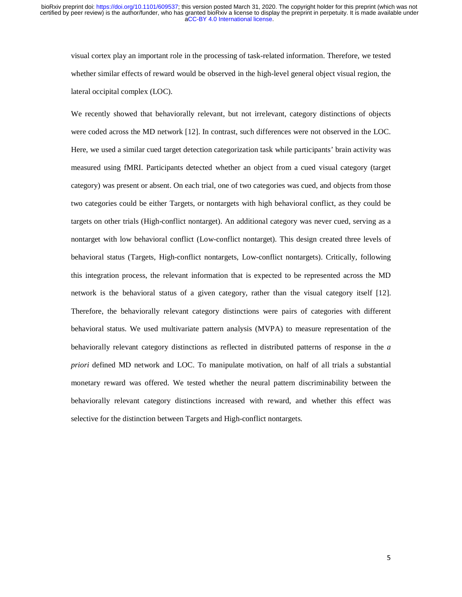visual cortex play an important role in the processing of task-related information. Therefore, we tested whether similar effects of reward would be observed in the high-level general object visual region, the lateral occipital complex (LOC).

We recently showed that behaviorally relevant, but not irrelevant, category distinctions of objects were coded across the MD network [12]. In contrast, such differences were not observed in the LOC. Here, we used a similar cued target detection categorization task while participants' brain activity was measured using fMRI. Participants detected whether an object from a cued visual category (target category) was present or absent. On each trial, one of two categories was cued, and objects from those two categories could be either Targets, or nontargets with high behavioral conflict, as they could be targets on other trials (High-conflict nontarget). An additional category was never cued, serving as a nontarget with low behavioral conflict (Low-conflict nontarget). This design created three levels of behavioral status (Targets, High-conflict nontargets, Low-conflict nontargets). Critically, following this integration process, the relevant information that is expected to be represented across the MD network is the behavioral status of a given category, rather than the visual category itself [12]. Therefore, the behaviorally relevant category distinctions were pairs of categories with different behavioral status. We used multivariate pattern analysis (MVPA) to measure representation of the behaviorally relevant category distinctions as reflected in distributed patterns of response in the *a priori* defined MD network and LOC. To manipulate motivation, on half of all trials a substantial monetary reward was offered. We tested whether the neural pattern discriminability between the behaviorally relevant category distinctions increased with reward, and whether this effect was selective for the distinction between Targets and High-conflict nontargets.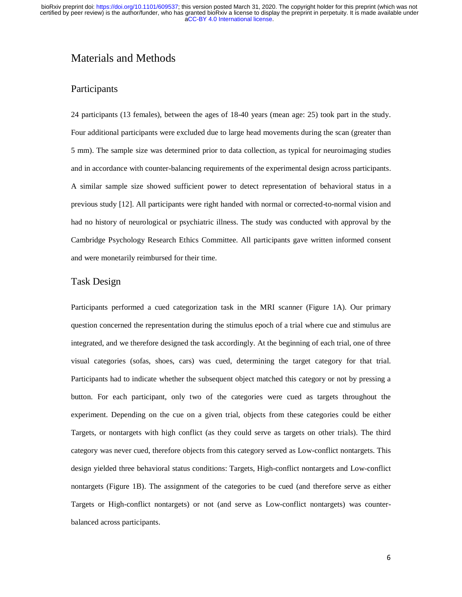# Materials and Methods

# Participants

24 participants (13 females), between the ages of 18-40 years (mean age: 25) took part in the study. Four additional participants were excluded due to large head movements during the scan (greater than 5 mm). The sample size was determined prior to data collection, as typical for neuroimaging studies and in accordance with counter-balancing requirements of the experimental design across participants. A similar sample size showed sufficient power to detect representation of behavioral status in a previous study [12]. All participants were right handed with normal or corrected-to-normal vision and had no history of neurological or psychiatric illness. The study was conducted with approval by the Cambridge Psychology Research Ethics Committee. All participants gave written informed consent and were monetarily reimbursed for their time.

#### Task Design

Participants performed a cued categorization task in the MRI scanner (Figure 1A). Our primary question concerned the representation during the stimulus epoch of a trial where cue and stimulus are integrated, and we therefore designed the task accordingly. At the beginning of each trial, one of three visual categories (sofas, shoes, cars) was cued, determining the target category for that trial. Participants had to indicate whether the subsequent object matched this category or not by pressing a button. For each participant, only two of the categories were cued as targets throughout the experiment. Depending on the cue on a given trial, objects from these categories could be either Targets, or nontargets with high conflict (as they could serve as targets on other trials). The third category was never cued, therefore objects from this category served as Low-conflict nontargets. This design yielded three behavioral status conditions: Targets, High-conflict nontargets and Low-conflict nontargets (Figure 1B). The assignment of the categories to be cued (and therefore serve as either Targets or High-conflict nontargets) or not (and serve as Low-conflict nontargets) was counterbalanced across participants.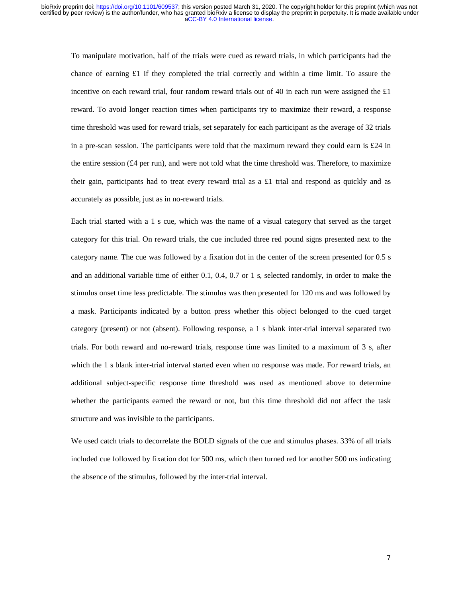To manipulate motivation, half of the trials were cued as reward trials, in which participants had the chance of earning £1 if they completed the trial correctly and within a time limit. To assure the incentive on each reward trial, four random reward trials out of 40 in each run were assigned the  $\pounds1$ reward. To avoid longer reaction times when participants try to maximize their reward, a response time threshold was used for reward trials, set separately for each participant as the average of 32 trials in a pre-scan session. The participants were told that the maximum reward they could earn is £24 in the entire session (£4 per run), and were not told what the time threshold was. Therefore, to maximize their gain, participants had to treat every reward trial as a £1 trial and respond as quickly and as accurately as possible, just as in no-reward trials.

Each trial started with a 1 s cue, which was the name of a visual category that served as the target category for this trial. On reward trials, the cue included three red pound signs presented next to the category name. The cue was followed by a fixation dot in the center of the screen presented for 0.5 s and an additional variable time of either 0.1, 0.4, 0.7 or 1 s, selected randomly, in order to make the stimulus onset time less predictable. The stimulus was then presented for 120 ms and was followed by a mask. Participants indicated by a button press whether this object belonged to the cued target category (present) or not (absent). Following response, a 1 s blank inter-trial interval separated two trials. For both reward and no-reward trials, response time was limited to a maximum of 3 s, after which the 1 s blank inter-trial interval started even when no response was made. For reward trials, an additional subject-specific response time threshold was used as mentioned above to determine whether the participants earned the reward or not, but this time threshold did not affect the task structure and was invisible to the participants.

We used catch trials to decorrelate the BOLD signals of the cue and stimulus phases. 33% of all trials included cue followed by fixation dot for 500 ms, which then turned red for another 500 ms indicating the absence of the stimulus, followed by the inter-trial interval.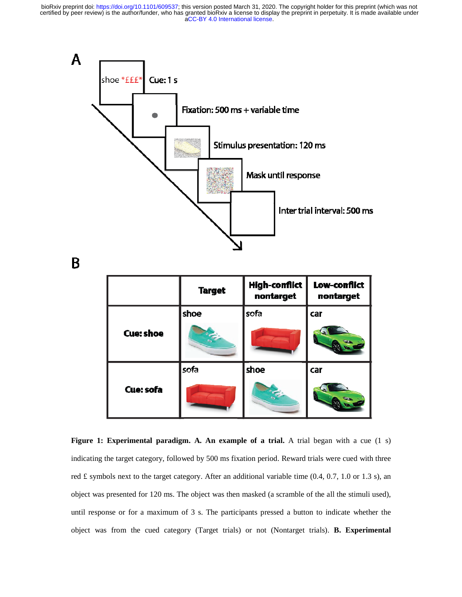[aCC-BY 4.0 International license.](http://creativecommons.org/licenses/by/4.0/) certified by peer review) is the author/funder, who has granted bioRxiv a license to display the preprint in perpetuity. It is made available under bioRxiv preprint doi: [https://doi.org/10.1101/609537;](https://doi.org/10.1101/609537) this version posted March 31, 2020. The copyright holder for this preprint (which was not



**Figure 1: Experimental paradigm. A. An example of a trial.** A trial began with a cue (1 s) indicating the target category, followed by 500 ms fixation period. Reward trials were cued with three red  $\pounds$  symbols next to the target category. After an additional variable time (0.4, 0.7, 1.0 or 1.3 s), an object was presented for 120 ms. The object was then masked (a scramble of the all the stimuli used), until response or for a maximum of 3 s. The participants pressed a button to indicate whether the object was from the cued category (Target trials) or not (Nontarget trials). **B. Experimental**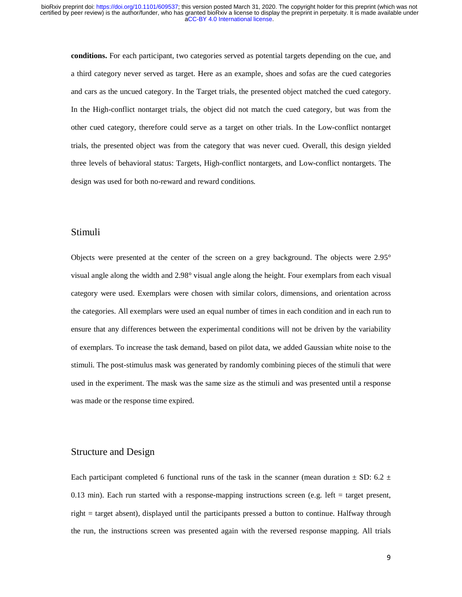**conditions.** For each participant, two categories served as potential targets depending on the cue, and a third category never served as target. Here as an example, shoes and sofas are the cued categories and cars as the uncued category. In the Target trials, the presented object matched the cued category. In the High-conflict nontarget trials, the object did not match the cued category, but was from the other cued category, therefore could serve as a target on other trials. In the Low-conflict nontarget trials, the presented object was from the category that was never cued. Overall, this design yielded three levels of behavioral status: Targets, High-conflict nontargets, and Low-conflict nontargets. The design was used for both no-reward and reward conditions.

## Stimuli

Objects were presented at the center of the screen on a grey background. The objects were 2.95° visual angle along the width and 2.98° visual angle along the height. Four exemplars from each visual category were used. Exemplars were chosen with similar colors, dimensions, and orientation across the categories. All exemplars were used an equal number of times in each condition and in each run to ensure that any differences between the experimental conditions will not be driven by the variability of exemplars. To increase the task demand, based on pilot data, we added Gaussian white noise to the stimuli. The post-stimulus mask was generated by randomly combining pieces of the stimuli that were used in the experiment. The mask was the same size as the stimuli and was presented until a response was made or the response time expired.

## Structure and Design

Each participant completed 6 functional runs of the task in the scanner (mean duration  $\pm$  SD: 6.2  $\pm$ 0.13 min). Each run started with a response-mapping instructions screen (e.g. left  $=$  target present, right = target absent), displayed until the participants pressed a button to continue. Halfway through the run, the instructions screen was presented again with the reversed response mapping. All trials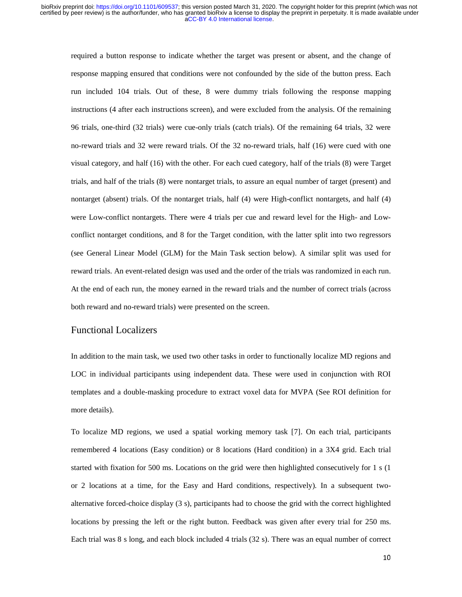required a button response to indicate whether the target was present or absent, and the change of response mapping ensured that conditions were not confounded by the side of the button press. Each run included 104 trials. Out of these, 8 were dummy trials following the response mapping instructions (4 after each instructions screen), and were excluded from the analysis. Of the remaining 96 trials, one-third (32 trials) were cue-only trials (catch trials). Of the remaining 64 trials, 32 were no-reward trials and 32 were reward trials. Of the 32 no-reward trials, half (16) were cued with one visual category, and half (16) with the other. For each cued category, half of the trials (8) were Target trials, and half of the trials (8) were nontarget trials, to assure an equal number of target (present) and nontarget (absent) trials. Of the nontarget trials, half (4) were High-conflict nontargets, and half (4) were Low-conflict nontargets. There were 4 trials per cue and reward level for the High- and Lowconflict nontarget conditions, and 8 for the Target condition, with the latter split into two regressors (see General Linear Model (GLM) for the Main Task section below). A similar split was used for reward trials. An event-related design was used and the order of the trials was randomized in each run. At the end of each run, the money earned in the reward trials and the number of correct trials (across both reward and no-reward trials) were presented on the screen.

#### Functional Localizers

In addition to the main task, we used two other tasks in order to functionally localize MD regions and LOC in individual participants using independent data. These were used in conjunction with ROI templates and a double-masking procedure to extract voxel data for MVPA (See ROI definition for more details).

To localize MD regions, we used a spatial working memory task [7]. On each trial, participants remembered 4 locations (Easy condition) or 8 locations (Hard condition) in a 3X4 grid. Each trial started with fixation for 500 ms. Locations on the grid were then highlighted consecutively for 1 s (1 or 2 locations at a time, for the Easy and Hard conditions, respectively). In a subsequent twoalternative forced-choice display (3 s), participants had to choose the grid with the correct highlighted locations by pressing the left or the right button. Feedback was given after every trial for 250 ms. Each trial was 8 s long, and each block included 4 trials (32 s). There was an equal number of correct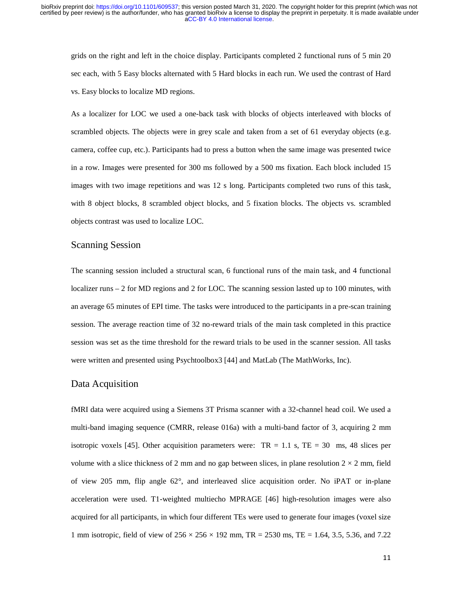grids on the right and left in the choice display. Participants completed 2 functional runs of 5 min 20 sec each, with 5 Easy blocks alternated with 5 Hard blocks in each run. We used the contrast of Hard vs. Easy blocks to localize MD regions.

As a localizer for LOC we used a one-back task with blocks of objects interleaved with blocks of scrambled objects. The objects were in grey scale and taken from a set of 61 everyday objects (e.g. camera, coffee cup, etc.). Participants had to press a button when the same image was presented twice in a row. Images were presented for 300 ms followed by a 500 ms fixation. Each block included 15 images with two image repetitions and was 12 s long. Participants completed two runs of this task, with 8 object blocks, 8 scrambled object blocks, and 5 fixation blocks. The objects vs. scrambled objects contrast was used to localize LOC.

### Scanning Session

The scanning session included a structural scan, 6 functional runs of the main task, and 4 functional localizer runs – 2 for MD regions and 2 for LOC. The scanning session lasted up to 100 minutes, with an average 65 minutes of EPI time. The tasks were introduced to the participants in a pre-scan training session. The average reaction time of 32 no-reward trials of the main task completed in this practice session was set as the time threshold for the reward trials to be used in the scanner session. All tasks were written and presented using Psychtoolbox3 [44] and MatLab (The MathWorks, Inc).

#### Data Acquisition

fMRI data were acquired using a Siemens 3T Prisma scanner with a 32-channel head coil. We used a multi-band imaging sequence (CMRR, release 016a) with a multi-band factor of 3, acquiring 2 mm isotropic voxels [45]. Other acquisition parameters were:  $TR = 1.1$  s,  $TE = 30$  ms, 48 slices per volume with a slice thickness of 2 mm and no gap between slices, in plane resolution  $2 \times 2$  mm, field of view 205 mm, flip angle 62°, and interleaved slice acquisition order. No iPAT or in-plane acceleration were used. T1-weighted multiecho MPRAGE [46] high-resolution images were also acquired for all participants, in which four different TEs were used to generate four images (voxel size 1 mm isotropic, field of view of  $256 \times 256 \times 192$  mm, TR = 2530 ms, TE = 1.64, 3.5, 5.36, and 7.22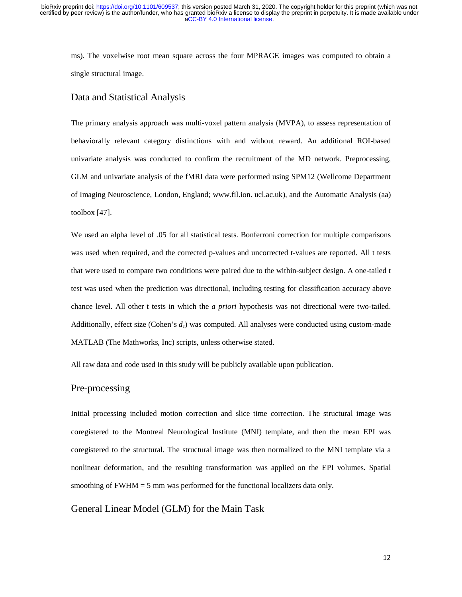ms). The voxelwise root mean square across the four MPRAGE images was computed to obtain a single structural image.

#### Data and Statistical Analysis

The primary analysis approach was multi-voxel pattern analysis (MVPA), to assess representation of behaviorally relevant category distinctions with and without reward. An additional ROI-based univariate analysis was conducted to confirm the recruitment of the MD network. Preprocessing, GLM and univariate analysis of the fMRI data were performed using SPM12 (Wellcome Department of Imaging Neuroscience, London, England; www.fil.ion. ucl.ac.uk), and the Automatic Analysis (aa) toolbox [47].

We used an alpha level of .05 for all statistical tests. Bonferroni correction for multiple comparisons was used when required, and the corrected p-values and uncorrected t-values are reported. All t tests that were used to compare two conditions were paired due to the within-subject design. A one-tailed t test was used when the prediction was directional, including testing for classification accuracy above chance level. All other t tests in which the *a priori* hypothesis was not directional were two-tailed. Additionally, effect size (Cohen's *dz*) was computed. All analyses were conducted using custom-made MATLAB (The Mathworks, Inc) scripts, unless otherwise stated.

All raw data and code used in this study will be publicly available upon publication.

#### Pre-processing

Initial processing included motion correction and slice time correction. The structural image was coregistered to the Montreal Neurological Institute (MNI) template, and then the mean EPI was coregistered to the structural. The structural image was then normalized to the MNI template via a nonlinear deformation, and the resulting transformation was applied on the EPI volumes. Spatial smoothing of FWHM = 5 mm was performed for the functional localizers data only.

## General Linear Model (GLM) for the Main Task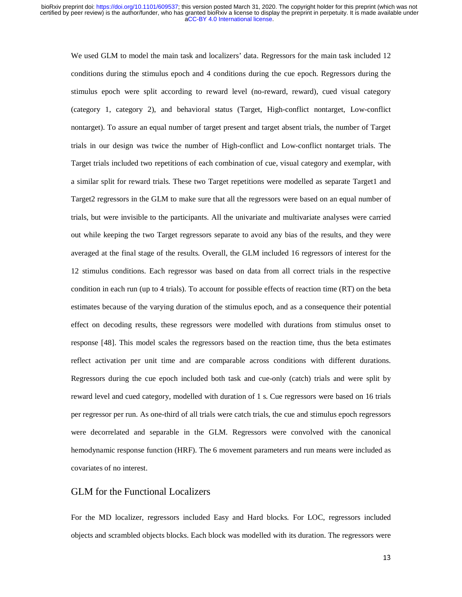We used GLM to model the main task and localizers' data. Regressors for the main task included 12 conditions during the stimulus epoch and 4 conditions during the cue epoch. Regressors during the stimulus epoch were split according to reward level (no-reward, reward), cued visual category (category 1, category 2), and behavioral status (Target, High-conflict nontarget, Low-conflict nontarget). To assure an equal number of target present and target absent trials, the number of Target trials in our design was twice the number of High-conflict and Low-conflict nontarget trials. The Target trials included two repetitions of each combination of cue, visual category and exemplar, with a similar split for reward trials. These two Target repetitions were modelled as separate Target1 and Target2 regressors in the GLM to make sure that all the regressors were based on an equal number of trials, but were invisible to the participants. All the univariate and multivariate analyses were carried out while keeping the two Target regressors separate to avoid any bias of the results, and they were averaged at the final stage of the results. Overall, the GLM included 16 regressors of interest for the 12 stimulus conditions. Each regressor was based on data from all correct trials in the respective condition in each run (up to 4 trials). To account for possible effects of reaction time (RT) on the beta estimates because of the varying duration of the stimulus epoch, and as a consequence their potential effect on decoding results, these regressors were modelled with durations from stimulus onset to response [48]. This model scales the regressors based on the reaction time, thus the beta estimates reflect activation per unit time and are comparable across conditions with different durations. Regressors during the cue epoch included both task and cue-only (catch) trials and were split by reward level and cued category, modelled with duration of 1 s. Cue regressors were based on 16 trials per regressor per run. As one-third of all trials were catch trials, the cue and stimulus epoch regressors were decorrelated and separable in the GLM. Regressors were convolved with the canonical hemodynamic response function (HRF). The 6 movement parameters and run means were included as covariates of no interest.

#### GLM for the Functional Localizers

For the MD localizer, regressors included Easy and Hard blocks. For LOC, regressors included objects and scrambled objects blocks. Each block was modelled with its duration. The regressors were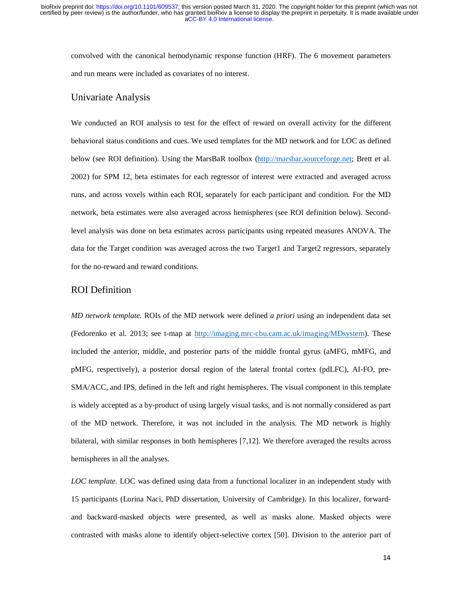convolved with the canonical hemodynamic response function (HRF). The 6 movement parameters and run means were included as covariates of no interest.

#### Univariate Analysis

We conducted an ROI analysis to test for the effect of reward on overall activity for the different behavioral status conditions and cues. We used templates for the MD network and for LOC as defined below (see ROI definition). Using the MarsBaR toolbox (http://marsbar.sourceforge.net; Brett et al. 2002) for SPM 12, beta estimates for each regressor of interest were extracted and averaged across runs, and across voxels within each ROI, separately for each participant and condition. For the MD network, beta estimates were also averaged across hemispheres (see ROI definition below). Secondlevel analysis was done on beta estimates across participants using repeated measures ANOVA. The data for the Target condition was averaged across the two Target1 and Target2 regressors, separately for the no-reward and reward conditions.

## ROI Definition

*MD network template.* ROIs of the MD network were defined *a priori* using an independent data set (Fedorenko et al. 2013; see t-map at http://imaging.mrc-cbu.cam.ac.uk/imaging/MDsystem). These included the anterior, middle, and posterior parts of the middle frontal gyrus (aMFG, mMFG, and pMFG, respectively), a posterior dorsal region of the lateral frontal cortex (pdLFC), AI-FO, pre-SMA/ACC, and IPS, defined in the left and right hemispheres. The visual component in this template is widely accepted as a by-product of using largely visual tasks, and is not normally considered as part of the MD network. Therefore, it was not included in the analysis. The MD network is highly bilateral, with similar responses in both hemispheres [7,12]. We therefore averaged the results across hemispheres in all the analyses.

*LOC template.* LOC was defined using data from a functional localizer in an independent study with 15 participants (Lorina Naci, PhD dissertation, University of Cambridge). In this localizer, forwardand backward-masked objects were presented, as well as masks alone. Masked objects were contrasted with masks alone to identify object-selective cortex [50]. Division to the anterior part of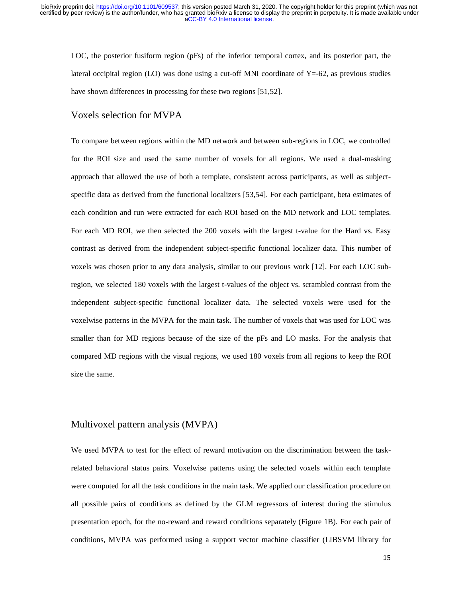LOC, the posterior fusiform region (pFs) of the inferior temporal cortex, and its posterior part, the lateral occipital region (LO) was done using a cut-off MNI coordinate of Y=-62, as previous studies have shown differences in processing for these two regions [51,52].

#### Voxels selection for MVPA

To compare between regions within the MD network and between sub-regions in LOC, we controlled for the ROI size and used the same number of voxels for all regions. We used a dual-masking approach that allowed the use of both a template, consistent across participants, as well as subjectspecific data as derived from the functional localizers [53,54]. For each participant, beta estimates of each condition and run were extracted for each ROI based on the MD network and LOC templates. For each MD ROI, we then selected the 200 voxels with the largest t-value for the Hard vs. Easy contrast as derived from the independent subject-specific functional localizer data. This number of voxels was chosen prior to any data analysis, similar to our previous work [12]. For each LOC subregion, we selected 180 voxels with the largest t-values of the object vs. scrambled contrast from the independent subject-specific functional localizer data. The selected voxels were used for the voxelwise patterns in the MVPA for the main task. The number of voxels that was used for LOC was smaller than for MD regions because of the size of the pFs and LO masks. For the analysis that compared MD regions with the visual regions, we used 180 voxels from all regions to keep the ROI size the same.

#### Multivoxel pattern analysis (MVPA)

We used MVPA to test for the effect of reward motivation on the discrimination between the taskrelated behavioral status pairs. Voxelwise patterns using the selected voxels within each template were computed for all the task conditions in the main task. We applied our classification procedure on all possible pairs of conditions as defined by the GLM regressors of interest during the stimulus presentation epoch, for the no-reward and reward conditions separately (Figure 1B). For each pair of conditions, MVPA was performed using a support vector machine classifier (LIBSVM library for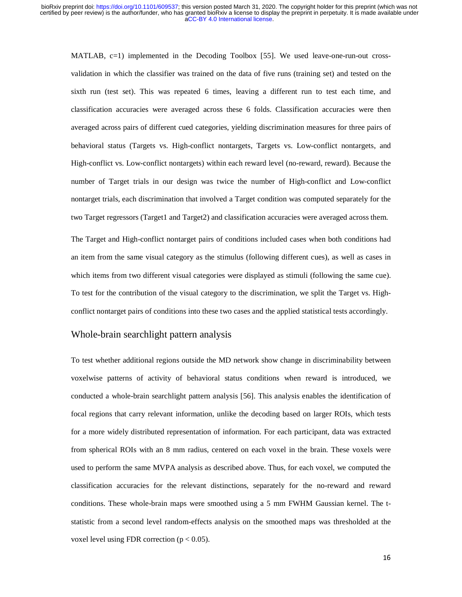MATLAB, c=1) implemented in the Decoding Toolbox [55]. We used leave-one-run-out crossvalidation in which the classifier was trained on the data of five runs (training set) and tested on the sixth run (test set). This was repeated 6 times, leaving a different run to test each time, and classification accuracies were averaged across these 6 folds. Classification accuracies were then averaged across pairs of different cued categories, yielding discrimination measures for three pairs of behavioral status (Targets vs. High-conflict nontargets, Targets vs. Low-conflict nontargets, and High-conflict vs. Low-conflict nontargets) within each reward level (no-reward, reward). Because the number of Target trials in our design was twice the number of High-conflict and Low-conflict nontarget trials, each discrimination that involved a Target condition was computed separately for the two Target regressors (Target1 and Target2) and classification accuracies were averaged across them.

The Target and High-conflict nontarget pairs of conditions included cases when both conditions had an item from the same visual category as the stimulus (following different cues), as well as cases in which items from two different visual categories were displayed as stimuli (following the same cue). To test for the contribution of the visual category to the discrimination, we split the Target vs. Highconflict nontarget pairs of conditions into these two cases and the applied statistical tests accordingly.

#### Whole-brain searchlight pattern analysis

To test whether additional regions outside the MD network show change in discriminability between voxelwise patterns of activity of behavioral status conditions when reward is introduced, we conducted a whole-brain searchlight pattern analysis [56]. This analysis enables the identification of focal regions that carry relevant information, unlike the decoding based on larger ROIs, which tests for a more widely distributed representation of information. For each participant, data was extracted from spherical ROIs with an 8 mm radius, centered on each voxel in the brain. These voxels were used to perform the same MVPA analysis as described above. Thus, for each voxel, we computed the classification accuracies for the relevant distinctions, separately for the no-reward and reward conditions. These whole-brain maps were smoothed using a 5 mm FWHM Gaussian kernel. The tstatistic from a second level random-effects analysis on the smoothed maps was thresholded at the voxel level using FDR correction ( $p < 0.05$ ).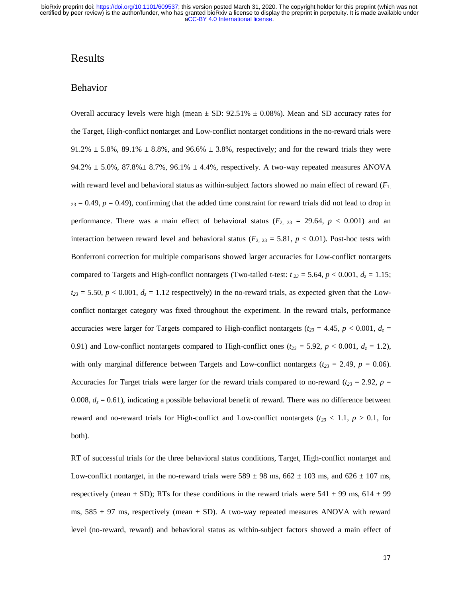# Results

## Behavior

Overall accuracy levels were high (mean  $\pm$  SD: 92.51%  $\pm$  0.08%). Mean and SD accuracy rates for the Target, High-conflict nontarget and Low-conflict nontarget conditions in the no-reward trials were  $91.2\% \pm 5.8\%, 89.1\% \pm 8.8\%,$  and  $96.6\% \pm 3.8\%,$  respectively; and for the reward trials they were  $94.2\% \pm 5.0\%$ ,  $87.8\% \pm 8.7\%$ ,  $96.1\% \pm 4.4\%$ , respectively. A two-way repeated measures ANOVA with reward level and behavioral status as within-subject factors showed no main effect of reward (*F*1,  $_{23} = 0.49$ ,  $p = 0.49$ ), confirming that the added time constraint for reward trials did not lead to drop in performance. There was a main effect of behavioral status ( $F_{2, 23} = 29.64$ ,  $p < 0.001$ ) and an interaction between reward level and behavioral status ( $F_{2, 23} = 5.81$ ,  $p < 0.01$ ). Post-hoc tests with Bonferroni correction for multiple comparisons showed larger accuracies for Low-conflict nontargets compared to Targets and High-conflict nontargets (Two-tailed t-test:  $t_{23} = 5.64$ ,  $p < 0.001$ ,  $d_z = 1.15$ ;  $t_{23}$  = 5.50,  $p < 0.001$ ,  $d_z$  = 1.12 respectively) in the no-reward trials, as expected given that the Lowconflict nontarget category was fixed throughout the experiment. In the reward trials, performance accuracies were larger for Targets compared to High-conflict nontargets ( $t_{23}$  = 4.45,  $p < 0.001$ ,  $d_z$  = 0.91) and Low-conflict nontargets compared to High-conflict ones  $(t_{23} = 5.92, p < 0.001, d_z = 1.2)$ , with only marginal difference between Targets and Low-conflict nontargets ( $t_{23}$  = 2.49,  $p$  = 0.06). Accuracies for Target trials were larger for the reward trials compared to no-reward ( $t_{23}$  = 2.92,  $p$  = 0.008,  $d_z = 0.61$ ), indicating a possible behavioral benefit of reward. There was no difference between reward and no-reward trials for High-conflict and Low-conflict nontargets ( $t_{23}$  < 1.1,  $p > 0.1$ , for both).

RT of successful trials for the three behavioral status conditions, Target, High-conflict nontarget and Low-conflict nontarget, in the no-reward trials were  $589 \pm 98$  ms,  $662 \pm 103$  ms, and  $626 \pm 107$  ms, respectively (mean  $\pm$  SD); RTs for these conditions in the reward trials were 541  $\pm$  99 ms, 614  $\pm$  99 ms,  $585 \pm 97$  ms, respectively (mean  $\pm$  SD). A two-way repeated measures ANOVA with reward level (no-reward, reward) and behavioral status as within-subject factors showed a main effect of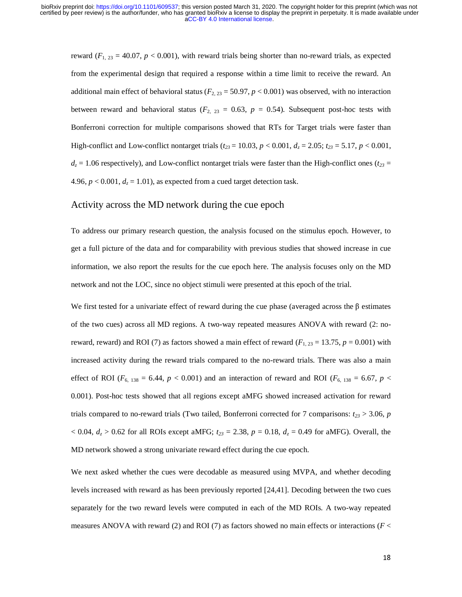reward  $(F_{1, 23} = 40.07, p < 0.001)$ , with reward trials being shorter than no-reward trials, as expected from the experimental design that required a response within a time limit to receive the reward. An additional main effect of behavioral status ( $F_{2, 23} = 50.97$ ,  $p < 0.001$ ) was observed, with no interaction between reward and behavioral status ( $F_{2, 23} = 0.63$ ,  $p = 0.54$ ). Subsequent post-hoc tests with Bonferroni correction for multiple comparisons showed that RTs for Target trials were faster than High-conflict and Low-conflict nontarget trials  $(t_{23} = 10.03, p < 0.001, d_z = 2.05; t_{23} = 5.17, p < 0.001$ ,  $d_z = 1.06$  respectively), and Low-conflict nontarget trials were faster than the High-conflict ones ( $t_{23}$  = 4.96,  $p < 0.001$ ,  $d_z = 1.01$ ), as expected from a cued target detection task.

#### Activity across the MD network during the cue epoch

To address our primary research question, the analysis focused on the stimulus epoch. However, to get a full picture of the data and for comparability with previous studies that showed increase in cue information, we also report the results for the cue epoch here. The analysis focuses only on the MD network and not the LOC, since no object stimuli were presented at this epoch of the trial.

We first tested for a univariate effect of reward during the cue phase (averaged across the  $\beta$  estimates of the two cues) across all MD regions. A two-way repeated measures ANOVA with reward (2: noreward, reward) and ROI (7) as factors showed a main effect of reward ( $F_{1, 23} = 13.75$ ,  $p = 0.001$ ) with increased activity during the reward trials compared to the no-reward trials. There was also a main effect of ROI ( $F_{6, 138} = 6.44$ ,  $p < 0.001$ ) and an interaction of reward and ROI ( $F_{6, 138} = 6.67$ ,  $p <$ 0.001). Post-hoc tests showed that all regions except aMFG showed increased activation for reward trials compared to no-reward trials (Two tailed, Bonferroni corrected for 7 comparisons:  $t_{23}$  > 3.06,  $p$  $< 0.04$ ,  $d_z > 0.62$  for all ROIs except aMFG;  $t_{23} = 2.38$ ,  $p = 0.18$ ,  $d_z = 0.49$  for aMFG). Overall, the MD network showed a strong univariate reward effect during the cue epoch.

We next asked whether the cues were decodable as measured using MVPA, and whether decoding levels increased with reward as has been previously reported [24,41]. Decoding between the two cues separately for the two reward levels were computed in each of the MD ROIs. A two-way repeated measures ANOVA with reward (2) and ROI (7) as factors showed no main effects or interactions (*F* <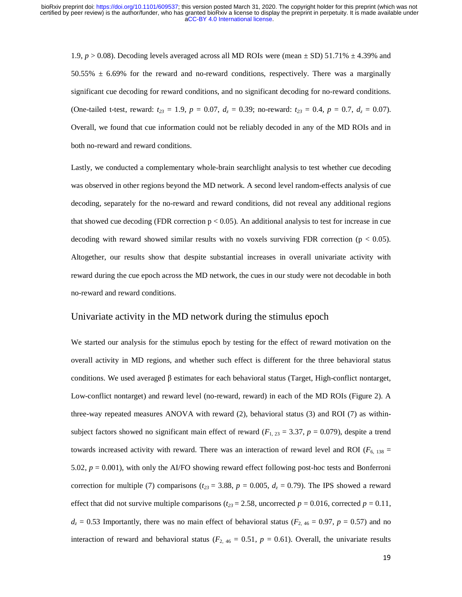1.9,  $p > 0.08$ ). Decoding levels averaged across all MD ROIs were (mean  $\pm$  SD) 51.71%  $\pm$  4.39% and  $50.55\% \pm 6.69\%$  for the reward and no-reward conditions, respectively. There was a marginally significant cue decoding for reward conditions, and no significant decoding for no-reward conditions. (One-tailed t-test, reward:  $t_{23} = 1.9$ ,  $p = 0.07$ ,  $d_z = 0.39$ ; no-reward:  $t_{23} = 0.4$ ,  $p = 0.7$ ,  $d_z = 0.07$ ). Overall, we found that cue information could not be reliably decoded in any of the MD ROIs and in both no-reward and reward conditions.

Lastly, we conducted a complementary whole-brain searchlight analysis to test whether cue decoding was observed in other regions beyond the MD network. A second level random-effects analysis of cue decoding, separately for the no-reward and reward conditions, did not reveal any additional regions that showed cue decoding (FDR correction  $p < 0.05$ ). An additional analysis to test for increase in cue decoding with reward showed similar results with no voxels surviving FDR correction ( $p < 0.05$ ). Altogether, our results show that despite substantial increases in overall univariate activity with reward during the cue epoch across the MD network, the cues in our study were not decodable in both no-reward and reward conditions.

#### Univariate activity in the MD network during the stimulus epoch

We started our analysis for the stimulus epoch by testing for the effect of reward motivation on the overall activity in MD regions, and whether such effect is different for the three behavioral status conditions. We used averaged β estimates for each behavioral status (Target, High-conflict nontarget, Low-conflict nontarget) and reward level (no-reward, reward) in each of the MD ROIs (Figure 2). A three-way repeated measures ANOVA with reward (2), behavioral status (3) and ROI (7) as withinsubject factors showed no significant main effect of reward  $(F_{1, 23} = 3.37, p = 0.079)$ , despite a trend towards increased activity with reward. There was an interaction of reward level and ROI ( $F_{6, 138}$  = 5.02,  $p = 0.001$ ), with only the AI/FO showing reward effect following post-hoc tests and Bonferroni correction for multiple (7) comparisons ( $t_{23} = 3.88$ ,  $p = 0.005$ ,  $d_z = 0.79$ ). The IPS showed a reward effect that did not survive multiple comparisons ( $t_{23} = 2.58$ , uncorrected  $p = 0.016$ , corrected  $p = 0.11$ ,  $d_z = 0.53$  Importantly, there was no main effect of behavioral status ( $F_{2,46} = 0.97$ ,  $p = 0.57$ ) and no interaction of reward and behavioral status ( $F_{2, 46} = 0.51$ ,  $p = 0.61$ ). Overall, the univariate results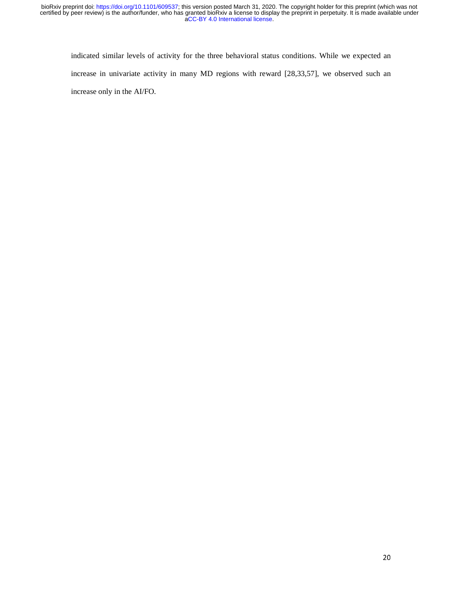indicated similar levels of activity for the three behavioral status conditions. While we expected an increase in univariate activity in many MD regions with reward [28,33,57], we observed such an increase only in the AI/FO.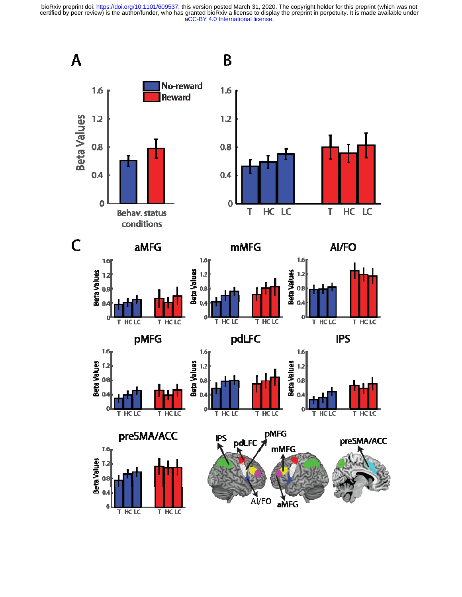[aCC-BY 4.0 International license.](http://creativecommons.org/licenses/by/4.0/) certified by peer review) is the author/funder, who has granted bioRxiv a license to display the preprint in perpetuity. It is made available under bioRxiv preprint doi: [https://doi.org/10.1101/609537;](https://doi.org/10.1101/609537) this version posted March 31, 2020. The copyright holder for this preprint (which was not

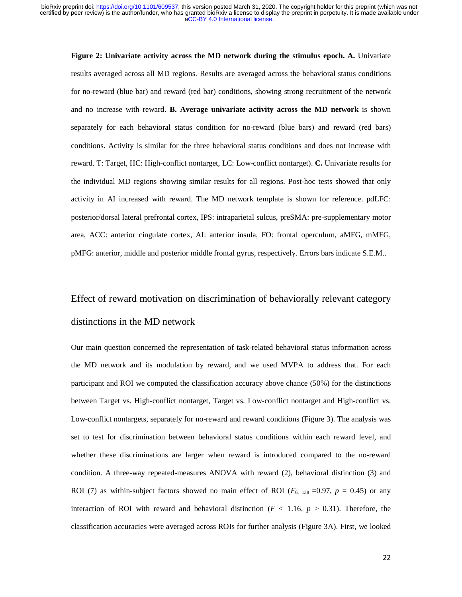**Figure 2: Univariate activity across the MD network during the stimulus epoch. A.** Univariate results averaged across all MD regions. Results are averaged across the behavioral status conditions for no-reward (blue bar) and reward (red bar) conditions, showing strong recruitment of the network and no increase with reward. **B. Average univariate activity across the MD network** is shown separately for each behavioral status condition for no-reward (blue bars) and reward (red bars) conditions. Activity is similar for the three behavioral status conditions and does not increase with reward. T: Target, HC: High-conflict nontarget, LC: Low-conflict nontarget). **C.** Univariate results for the individual MD regions showing similar results for all regions. Post-hoc tests showed that only activity in AI increased with reward. The MD network template is shown for reference. pdLFC: posterior/dorsal lateral prefrontal cortex, IPS: intraparietal sulcus, preSMA: pre-supplementary motor area, ACC: anterior cingulate cortex, AI: anterior insula, FO: frontal operculum, aMFG, mMFG, pMFG: anterior, middle and posterior middle frontal gyrus, respectively. Errors bars indicate S.E.M..

# Effect of reward motivation on discrimination of behaviorally relevant category distinctions in the MD network

Our main question concerned the representation of task-related behavioral status information across the MD network and its modulation by reward, and we used MVPA to address that. For each participant and ROI we computed the classification accuracy above chance (50%) for the distinctions between Target vs. High-conflict nontarget, Target vs. Low-conflict nontarget and High-conflict vs. Low-conflict nontargets, separately for no-reward and reward conditions (Figure 3). The analysis was set to test for discrimination between behavioral status conditions within each reward level, and whether these discriminations are larger when reward is introduced compared to the no-reward condition. A three-way repeated-measures ANOVA with reward (2), behavioral distinction (3) and ROI (7) as within-subject factors showed no main effect of ROI ( $F<sub>6, 138</sub> = 0.97$ ,  $p = 0.45$ ) or any interaction of ROI with reward and behavioral distinction  $(F < 1.16, p > 0.31)$ . Therefore, the classification accuracies were averaged across ROIs for further analysis (Figure 3A). First, we looked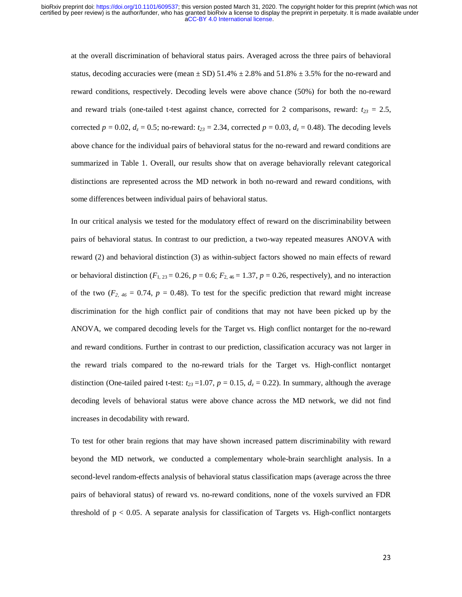at the overall discrimination of behavioral status pairs. Averaged across the three pairs of behavioral status, decoding accuracies were (mean  $\pm$  SD) 51.4%  $\pm$  2.8% and 51.8%  $\pm$  3.5% for the no-reward and reward conditions, respectively. Decoding levels were above chance (50%) for both the no-reward and reward trials (one-tailed t-test against chance, corrected for 2 comparisons, reward:  $t_{23} = 2.5$ , corrected  $p = 0.02$ ,  $d_z = 0.5$ ; no-reward:  $t_{23} = 2.34$ , corrected  $p = 0.03$ ,  $d_z = 0.48$ ). The decoding levels above chance for the individual pairs of behavioral status for the no-reward and reward conditions are summarized in Table 1. Overall, our results show that on average behaviorally relevant categorical distinctions are represented across the MD network in both no-reward and reward conditions, with some differences between individual pairs of behavioral status.

In our critical analysis we tested for the modulatory effect of reward on the discriminability between pairs of behavioral status. In contrast to our prediction, a two-way repeated measures ANOVA with reward (2) and behavioral distinction (3) as within-subject factors showed no main effects of reward or behavioral distinction ( $F_{1, 23} = 0.26$ ,  $p = 0.6$ ;  $F_{2, 46} = 1.37$ ,  $p = 0.26$ , respectively), and no interaction of the two  $(F_{2, 46} = 0.74, p = 0.48)$ . To test for the specific prediction that reward might increase discrimination for the high conflict pair of conditions that may not have been picked up by the ANOVA, we compared decoding levels for the Target vs. High conflict nontarget for the no-reward and reward conditions. Further in contrast to our prediction, classification accuracy was not larger in the reward trials compared to the no-reward trials for the Target vs. High-conflict nontarget distinction (One-tailed paired t-test:  $t_{23} = 1.07$ ,  $p = 0.15$ ,  $d_z = 0.22$ ). In summary, although the average decoding levels of behavioral status were above chance across the MD network, we did not find increases in decodability with reward.

To test for other brain regions that may have shown increased pattern discriminability with reward beyond the MD network, we conducted a complementary whole-brain searchlight analysis. In a second-level random-effects analysis of behavioral status classification maps (average across the three pairs of behavioral status) of reward vs. no-reward conditions, none of the voxels survived an FDR threshold of  $p < 0.05$ . A separate analysis for classification of Targets vs. High-conflict nontargets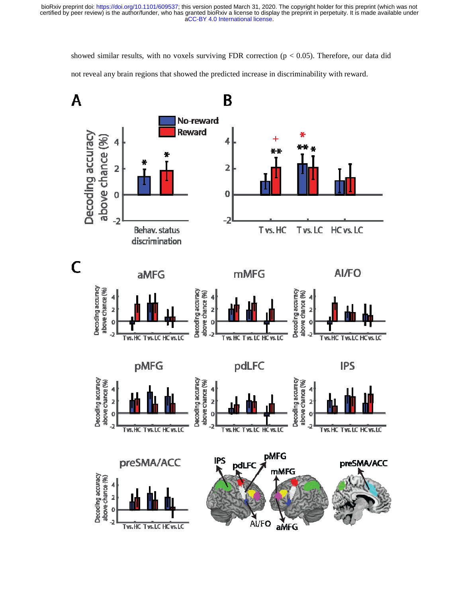[aCC-BY 4.0 International license.](http://creativecommons.org/licenses/by/4.0/) certified by peer review) is the author/funder, who has granted bioRxiv a license to display the preprint in perpetuity. It is made available under bioRxiv preprint doi: [https://doi.org/10.1101/609537;](https://doi.org/10.1101/609537) this version posted March 31, 2020. The copyright holder for this preprint (which was not

showed similar results, with no voxels surviving FDR correction ( $p < 0.05$ ). Therefore, our data did

not reveal any brain regions that showed the predicted increase in discriminability with reward.

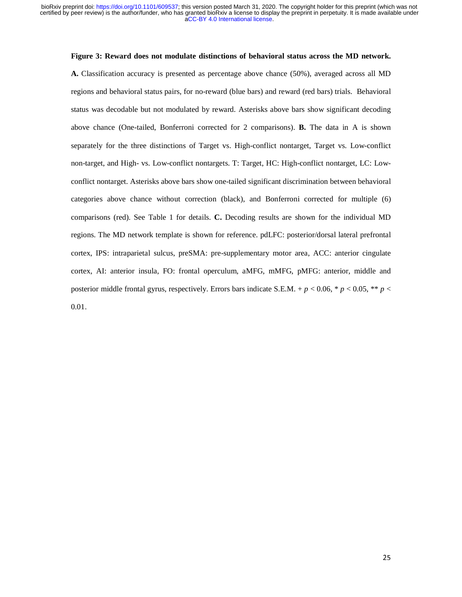#### **Figure 3: Reward does not modulate distinctions of behavioral status across the MD network.**

**A.** Classification accuracy is presented as percentage above chance (50%), averaged across all MD regions and behavioral status pairs, for no-reward (blue bars) and reward (red bars) trials. Behavioral status was decodable but not modulated by reward. Asterisks above bars show significant decoding above chance (One-tailed, Bonferroni corrected for 2 comparisons). **B.** The data in A is shown separately for the three distinctions of Target vs. High-conflict nontarget, Target vs. Low-conflict non-target, and High- vs. Low-conflict nontargets. T: Target, HC: High-conflict nontarget, LC: Lowconflict nontarget. Asterisks above bars show one-tailed significant discrimination between behavioral categories above chance without correction (black), and Bonferroni corrected for multiple (6) comparisons (red). See Table 1 for details. **C.** Decoding results are shown for the individual MD regions. The MD network template is shown for reference. pdLFC: posterior/dorsal lateral prefrontal cortex, IPS: intraparietal sulcus, preSMA: pre-supplementary motor area, ACC: anterior cingulate cortex, AI: anterior insula, FO: frontal operculum, aMFG, mMFG, pMFG: anterior, middle and posterior middle frontal gyrus, respectively. Errors bars indicate S.E.M. +  $p < 0.06$ , \*  $p < 0.05$ , \*  $p <$ 0.01.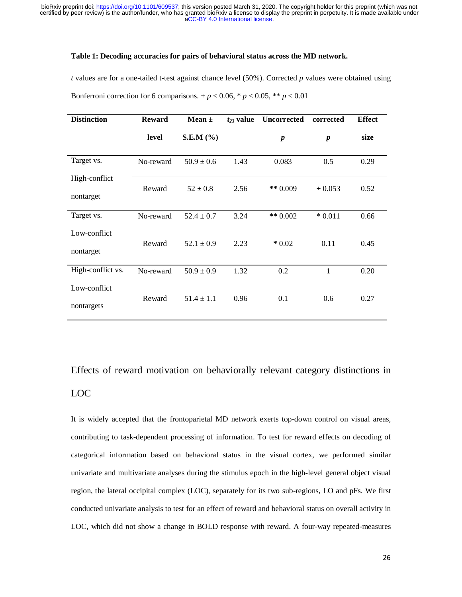[aCC-BY 4.0 International license.](http://creativecommons.org/licenses/by/4.0/) certified by peer review) is the author/funder, who has granted bioRxiv a license to display the preprint in perpetuity. It is made available under bioRxiv preprint doi: [https://doi.org/10.1101/609537;](https://doi.org/10.1101/609537) this version posted March 31, 2020. The copyright holder for this preprint (which was not

#### **Table 1: Decoding accuracies for pairs of behavioral status across the MD network.**

*t* values are for a one-tailed t-test against chance level (50%). Corrected *p* values were obtained using Bonferroni correction for 6 comparisons.  $+p < 0.06$ ,  $\binom{p}{p} < 0.05$ ,  $\binom{p}{p} < 0.01$ 

| <b>Distinction</b>         | <b>Reward</b> | Mean $\pm$     | $t_{23}$ value | <b>Uncorrected</b> | corrected        | <b>Effect</b> |
|----------------------------|---------------|----------------|----------------|--------------------|------------------|---------------|
|                            | level         | S.E.M $(\% )$  |                | $\boldsymbol{p}$   | $\boldsymbol{p}$ | size          |
| Target vs.                 | No-reward     | $50.9 \pm 0.6$ | 1.43           | 0.083              | 0.5              | 0.29          |
| High-conflict<br>nontarget | Reward        | $52 \pm 0.8$   | 2.56           | ** 0.009           | $+0.053$         | 0.52          |
| Target vs.                 | No-reward     | $52.4 \pm 0.7$ | 3.24           | ** 0.002           | $*0.011$         | 0.66          |
| Low-conflict<br>nontarget  | Reward        | $52.1 \pm 0.9$ | 2.23           | $*0.02$            | 0.11             | 0.45          |
| High-conflict vs.          | No-reward     | $50.9 \pm 0.9$ | 1.32           | 0.2                | 1                | 0.20          |
| Low-conflict<br>nontargets | Reward        | $51.4 \pm 1.1$ | 0.96           | 0.1                | 0.6              | 0.27          |

Effects of reward motivation on behaviorally relevant category distinctions in LOC

It is widely accepted that the frontoparietal MD network exerts top-down control on visual areas, contributing to task-dependent processing of information. To test for reward effects on decoding of categorical information based on behavioral status in the visual cortex, we performed similar univariate and multivariate analyses during the stimulus epoch in the high-level general object visual region, the lateral occipital complex (LOC), separately for its two sub-regions, LO and pFs. We first conducted univariate analysis to test for an effect of reward and behavioral status on overall activity in LOC, which did not show a change in BOLD response with reward. A four-way repeated-measures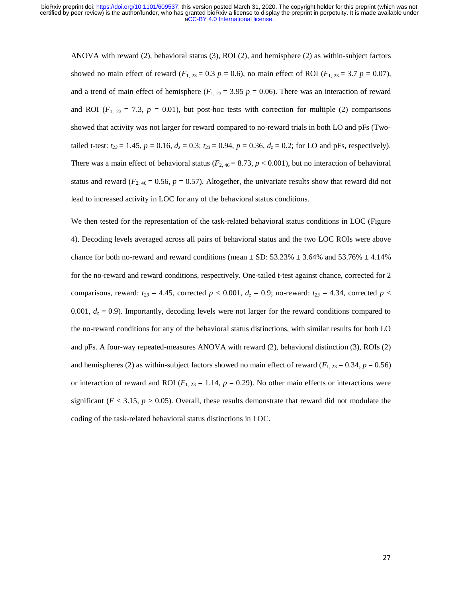ANOVA with reward (2), behavioral status (3), ROI (2), and hemisphere (2) as within-subject factors showed no main effect of reward ( $F_{1, 23} = 0.3$  *p* = 0.6), no main effect of ROI ( $F_{1, 23} = 3.7$  *p* = 0.07), and a trend of main effect of hemisphere  $(F_{1, 23} = 3.95 p = 0.06)$ . There was an interaction of reward and ROI ( $F_{1, 23} = 7.3$ ,  $p = 0.01$ ), but post-hoc tests with correction for multiple (2) comparisons showed that activity was not larger for reward compared to no-reward trials in both LO and pFs (Twotailed t-test:  $t_{23} = 1.45$ ,  $p = 0.16$ ,  $d_z = 0.3$ ;  $t_{23} = 0.94$ ,  $p = 0.36$ ,  $d_z = 0.2$ ; for LO and pFs, respectively). There was a main effect of behavioral status ( $F_{2, 46} = 8.73$ ,  $p < 0.001$ ), but no interaction of behavioral status and reward ( $F_{2, 46} = 0.56$ ,  $p = 0.57$ ). Altogether, the univariate results show that reward did not lead to increased activity in LOC for any of the behavioral status conditions.

We then tested for the representation of the task-related behavioral status conditions in LOC (Figure 4). Decoding levels averaged across all pairs of behavioral status and the two LOC ROIs were above chance for both no-reward and reward conditions (mean  $\pm$  SD: 53.23%  $\pm$  3.64% and 53.76%  $\pm$  4.14% for the no-reward and reward conditions, respectively. One-tailed t-test against chance, corrected for 2 comparisons, reward:  $t_{23} = 4.45$ , corrected  $p < 0.001$ ,  $d_z = 0.9$ ; no-reward:  $t_{23} = 4.34$ , corrected  $p <$ 0.001,  $d_z = 0.9$ ). Importantly, decoding levels were not larger for the reward conditions compared to the no-reward conditions for any of the behavioral status distinctions, with similar results for both LO and pFs. A four-way repeated-measures ANOVA with reward (2), behavioral distinction (3), ROIs (2) and hemispheres (2) as within-subject factors showed no main effect of reward ( $F_{1, 23} = 0.34$ ,  $p = 0.56$ ) or interaction of reward and ROI ( $F_{1, 23} = 1.14$ ,  $p = 0.29$ ). No other main effects or interactions were significant  $(F < 3.15, p > 0.05)$ . Overall, these results demonstrate that reward did not modulate the coding of the task-related behavioral status distinctions in LOC.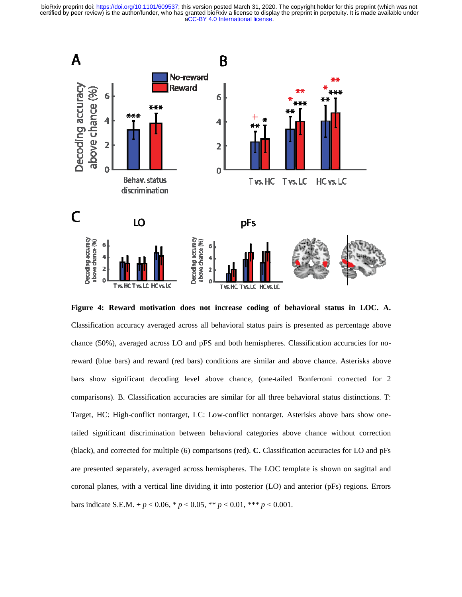[aCC-BY 4.0 International license.](http://creativecommons.org/licenses/by/4.0/) certified by peer review) is the author/funder, who has granted bioRxiv a license to display the preprint in perpetuity. It is made available under bioRxiv preprint doi: [https://doi.org/10.1101/609537;](https://doi.org/10.1101/609537) this version posted March 31, 2020. The copyright holder for this preprint (which was not



**Figure 4: Reward motivation does not increase coding of behavioral status in LOC. A.** Classification accuracy averaged across all behavioral status pairs is presented as percentage above chance (50%), averaged across LO and pFS and both hemispheres. Classification accuracies for noreward (blue bars) and reward (red bars) conditions are similar and above chance. Asterisks above bars show significant decoding level above chance, (one-tailed Bonferroni corrected for 2 comparisons). B. Classification accuracies are similar for all three behavioral status distinctions. T: Target, HC: High-conflict nontarget, LC: Low-conflict nontarget. Asterisks above bars show onetailed significant discrimination between behavioral categories above chance without correction (black), and corrected for multiple (6) comparisons (red). **C.** Classification accuracies for LO and pFs are presented separately, averaged across hemispheres. The LOC template is shown on sagittal and coronal planes, with a vertical line dividing it into posterior (LO) and anterior (pFs) regions. Errors bars indicate S.E.M. + *p* < 0.06, \* *p* < 0.05, \*\* *p* < 0.01, \*\*\* *p* < 0.001.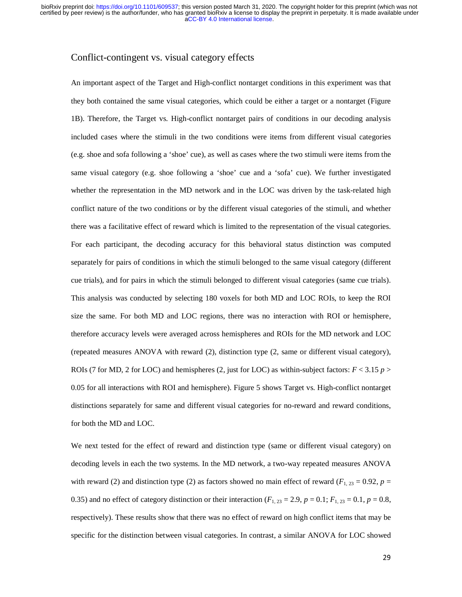## Conflict-contingent vs. visual category effects

An important aspect of the Target and High-conflict nontarget conditions in this experiment was that they both contained the same visual categories, which could be either a target or a nontarget (Figure 1B). Therefore, the Target vs. High-conflict nontarget pairs of conditions in our decoding analysis included cases where the stimuli in the two conditions were items from different visual categories (e.g. shoe and sofa following a 'shoe' cue), as well as cases where the two stimuli were items from the same visual category (e.g. shoe following a 'shoe' cue and a 'sofa' cue). We further investigated whether the representation in the MD network and in the LOC was driven by the task-related high conflict nature of the two conditions or by the different visual categories of the stimuli, and whether there was a facilitative effect of reward which is limited to the representation of the visual categories. For each participant, the decoding accuracy for this behavioral status distinction was computed separately for pairs of conditions in which the stimuli belonged to the same visual category (different cue trials), and for pairs in which the stimuli belonged to different visual categories (same cue trials). This analysis was conducted by selecting 180 voxels for both MD and LOC ROIs, to keep the ROI size the same. For both MD and LOC regions, there was no interaction with ROI or hemisphere, therefore accuracy levels were averaged across hemispheres and ROIs for the MD network and LOC (repeated measures ANOVA with reward (2), distinction type (2, same or different visual category), ROIs (7 for MD, 2 for LOC) and hemispheres (2, just for LOC) as within-subject factors:  $F < 3.15 p$ 0.05 for all interactions with ROI and hemisphere). Figure 5 shows Target vs. High-conflict nontarget distinctions separately for same and different visual categories for no-reward and reward conditions, for both the MD and LOC.

We next tested for the effect of reward and distinction type (same or different visual category) on decoding levels in each the two systems. In the MD network, a two-way repeated measures ANOVA with reward (2) and distinction type (2) as factors showed no main effect of reward ( $F_{1, 23} = 0.92$ ,  $p =$ 0.35) and no effect of category distinction or their interaction  $(F_{1, 23} = 2.9, p = 0.1; F_{1, 23} = 0.1, p = 0.8$ , respectively). These results show that there was no effect of reward on high conflict items that may be specific for the distinction between visual categories. In contrast, a similar ANOVA for LOC showed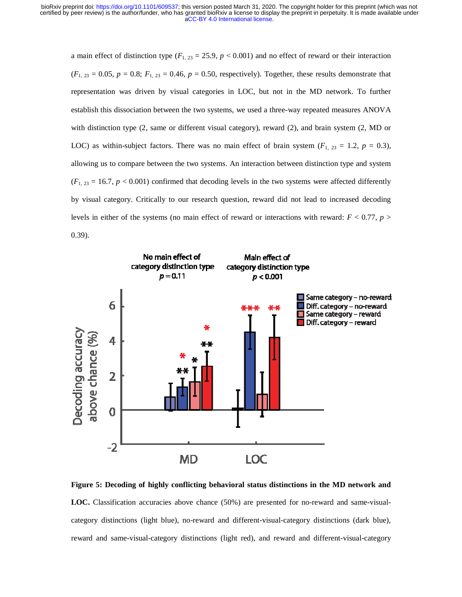a main effect of distinction type  $(F_{1, 23} = 25.9, p < 0.001)$  and no effect of reward or their interaction  $(F_{1, 23} = 0.05, p = 0.8; F_{1, 23} = 0.46, p = 0.50$ , respectively). Together, these results demonstrate that representation was driven by visual categories in LOC, but not in the MD network. To further establish this dissociation between the two systems, we used a three-way repeated measures ANOVA with distinction type (2, same or different visual category), reward (2), and brain system (2, MD or LOC) as within-subject factors. There was no main effect of brain system  $(F_{1, 23} = 1.2, p = 0.3)$ , allowing us to compare between the two systems. An interaction between distinction type and system  $(F_{1, 23} = 16.7, p < 0.001)$  confirmed that decoding levels in the two systems were affected differently by visual category. Critically to our research question, reward did not lead to increased decoding levels in either of the systems (no main effect of reward or interactions with reward:  $F < 0.77$ ,  $p >$ 0.39).



**Figure 5: Decoding of highly conflicting behavioral status distinctions in the MD network and LOC.** Classification accuracies above chance (50%) are presented for no-reward and same-visualcategory distinctions (light blue), no-reward and different-visual-category distinctions (dark blue), reward and same-visual-category distinctions (light red), and reward and different-visual-category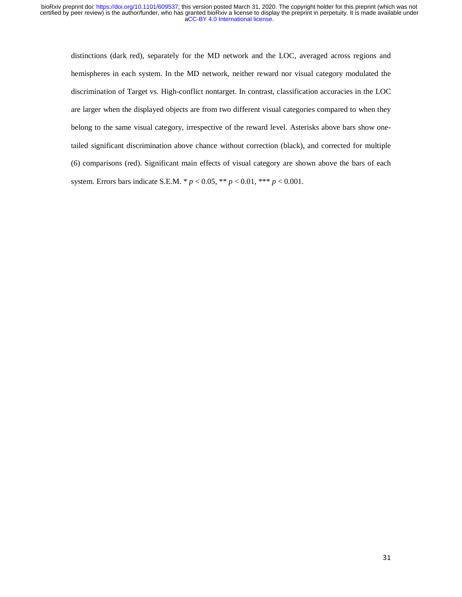distinctions (dark red), separately for the MD network and the LOC, averaged across regions and hemispheres in each system. In the MD network, neither reward nor visual category modulated the discrimination of Target vs. High-conflict nontarget. In contrast, classification accuracies in the LOC are larger when the displayed objects are from two different visual categories compared to when they belong to the same visual category, irrespective of the reward level. Asterisks above bars show onetailed significant discrimination above chance without correction (black), and corrected for multiple (6) comparisons (red). Significant main effects of visual category are shown above the bars of each system. Errors bars indicate S.E.M. \* *p* < 0.05, \*\* *p* < 0.01, \*\*\* *p* < 0.001.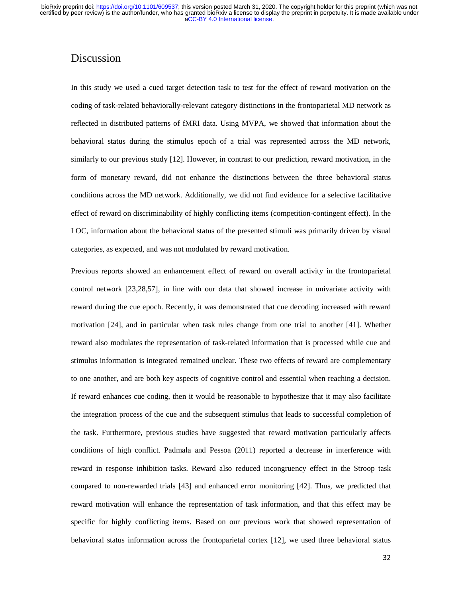# Discussion

In this study we used a cued target detection task to test for the effect of reward motivation on the coding of task-related behaviorally-relevant category distinctions in the frontoparietal MD network as reflected in distributed patterns of fMRI data. Using MVPA, we showed that information about the behavioral status during the stimulus epoch of a trial was represented across the MD network, similarly to our previous study [12]. However, in contrast to our prediction, reward motivation, in the form of monetary reward, did not enhance the distinctions between the three behavioral status conditions across the MD network. Additionally, we did not find evidence for a selective facilitative effect of reward on discriminability of highly conflicting items (competition-contingent effect). In the LOC, information about the behavioral status of the presented stimuli was primarily driven by visual categories, as expected, and was not modulated by reward motivation.

Previous reports showed an enhancement effect of reward on overall activity in the frontoparietal control network [23,28,57], in line with our data that showed increase in univariate activity with reward during the cue epoch. Recently, it was demonstrated that cue decoding increased with reward motivation [24], and in particular when task rules change from one trial to another [41]. Whether reward also modulates the representation of task-related information that is processed while cue and stimulus information is integrated remained unclear. These two effects of reward are complementary to one another, and are both key aspects of cognitive control and essential when reaching a decision. If reward enhances cue coding, then it would be reasonable to hypothesize that it may also facilitate the integration process of the cue and the subsequent stimulus that leads to successful completion of the task. Furthermore, previous studies have suggested that reward motivation particularly affects conditions of high conflict. Padmala and Pessoa (2011) reported a decrease in interference with reward in response inhibition tasks. Reward also reduced incongruency effect in the Stroop task compared to non-rewarded trials [43] and enhanced error monitoring [42]. Thus, we predicted that reward motivation will enhance the representation of task information, and that this effect may be specific for highly conflicting items. Based on our previous work that showed representation of behavioral status information across the frontoparietal cortex [12], we used three behavioral status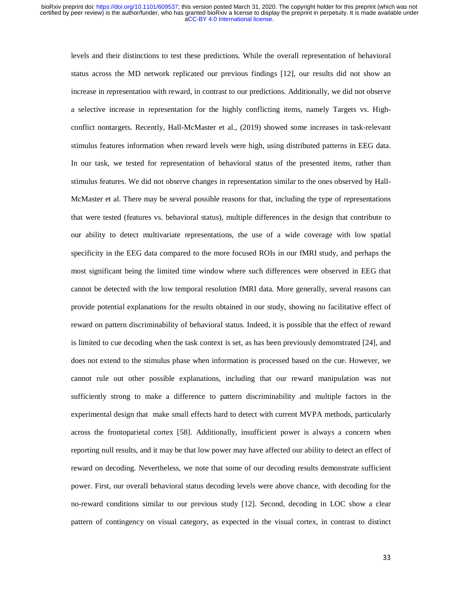levels and their distinctions to test these predictions. While the overall representation of behavioral status across the MD network replicated our previous findings [12], our results did not show an increase in representation with reward, in contrast to our predictions. Additionally, we did not observe a selective increase in representation for the highly conflicting items, namely Targets vs. Highconflict nontargets. Recently, Hall-McMaster et al., (2019) showed some increases in task-relevant stimulus features information when reward levels were high, using distributed patterns in EEG data. In our task, we tested for representation of behavioral status of the presented items, rather than stimulus features. We did not observe changes in representation similar to the ones observed by Hall-McMaster et al. There may be several possible reasons for that, including the type of representations that were tested (features vs. behavioral status), multiple differences in the design that contribute to our ability to detect multivariate representations, the use of a wide coverage with low spatial specificity in the EEG data compared to the more focused ROIs in our fMRI study, and perhaps the most significant being the limited time window where such differences were observed in EEG that cannot be detected with the low temporal resolution fMRI data. More generally, several reasons can provide potential explanations for the results obtained in our study, showing no facilitative effect of reward on pattern discriminability of behavioral status. Indeed, it is possible that the effect of reward is limited to cue decoding when the task context is set, as has been previously demonstrated [24], and does not extend to the stimulus phase when information is processed based on the cue. However, we cannot rule out other possible explanations, including that our reward manipulation was not sufficiently strong to make a difference to pattern discriminability and multiple factors in the experimental design that make small effects hard to detect with current MVPA methods, particularly across the frontoparietal cortex [58]. Additionally, insufficient power is always a concern when reporting null results, and it may be that low power may have affected our ability to detect an effect of reward on decoding. Nevertheless, we note that some of our decoding results demonstrate sufficient power. First, our overall behavioral status decoding levels were above chance, with decoding for the no-reward conditions similar to our previous study [12]. Second, decoding in LOC show a clear pattern of contingency on visual category, as expected in the visual cortex, in contrast to distinct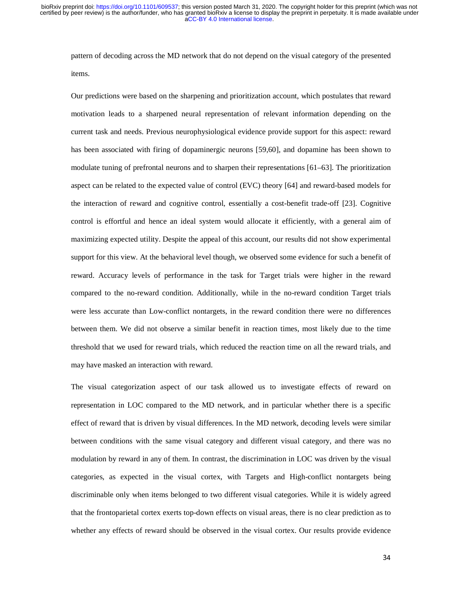pattern of decoding across the MD network that do not depend on the visual category of the presented items.

Our predictions were based on the sharpening and prioritization account, which postulates that reward motivation leads to a sharpened neural representation of relevant information depending on the current task and needs. Previous neurophysiological evidence provide support for this aspect: reward has been associated with firing of dopaminergic neurons [59,60], and dopamine has been shown to modulate tuning of prefrontal neurons and to sharpen their representations [61–63]. The prioritization aspect can be related to the expected value of control (EVC) theory [64] and reward-based models for the interaction of reward and cognitive control, essentially a cost-benefit trade-off [23]. Cognitive control is effortful and hence an ideal system would allocate it efficiently, with a general aim of maximizing expected utility. Despite the appeal of this account, our results did not show experimental support for this view. At the behavioral level though, we observed some evidence for such a benefit of reward. Accuracy levels of performance in the task for Target trials were higher in the reward compared to the no-reward condition. Additionally, while in the no-reward condition Target trials were less accurate than Low-conflict nontargets, in the reward condition there were no differences between them. We did not observe a similar benefit in reaction times, most likely due to the time threshold that we used for reward trials, which reduced the reaction time on all the reward trials, and may have masked an interaction with reward.

The visual categorization aspect of our task allowed us to investigate effects of reward on representation in LOC compared to the MD network, and in particular whether there is a specific effect of reward that is driven by visual differences. In the MD network, decoding levels were similar between conditions with the same visual category and different visual category, and there was no modulation by reward in any of them. In contrast, the discrimination in LOC was driven by the visual categories, as expected in the visual cortex, with Targets and High-conflict nontargets being discriminable only when items belonged to two different visual categories. While it is widely agreed that the frontoparietal cortex exerts top-down effects on visual areas, there is no clear prediction as to whether any effects of reward should be observed in the visual cortex. Our results provide evidence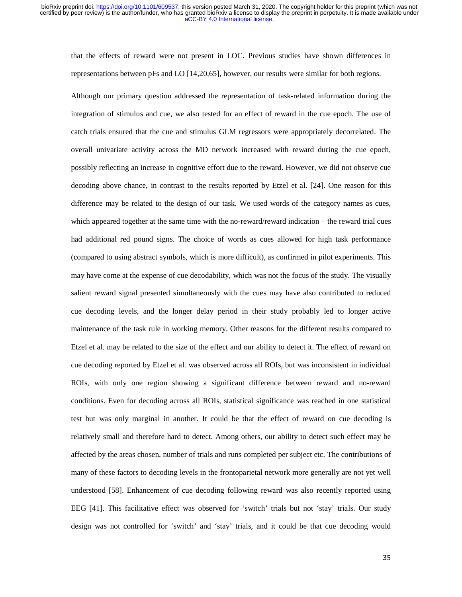that the effects of reward were not present in LOC. Previous studies have shown differences in representations between pFs and LO [14,20,65], however, our results were similar for both regions.

Although our primary question addressed the representation of task-related information during the integration of stimulus and cue, we also tested for an effect of reward in the cue epoch. The use of catch trials ensured that the cue and stimulus GLM regressors were appropriately decorrelated. The overall univariate activity across the MD network increased with reward during the cue epoch, possibly reflecting an increase in cognitive effort due to the reward. However, we did not observe cue decoding above chance, in contrast to the results reported by Etzel et al. [24]. One reason for this difference may be related to the design of our task. We used words of the category names as cues, which appeared together at the same time with the no-reward/reward indication – the reward trial cues had additional red pound signs. The choice of words as cues allowed for high task performance (compared to using abstract symbols, which is more difficult), as confirmed in pilot experiments. This may have come at the expense of cue decodability, which was not the focus of the study. The visually salient reward signal presented simultaneously with the cues may have also contributed to reduced cue decoding levels, and the longer delay period in their study probably led to longer active maintenance of the task rule in working memory. Other reasons for the different results compared to Etzel et al. may be related to the size of the effect and our ability to detect it. The effect of reward on cue decoding reported by Etzel et al. was observed across all ROIs, but was inconsistent in individual ROIs, with only one region showing a significant difference between reward and no-reward conditions. Even for decoding across all ROIs, statistical significance was reached in one statistical test but was only marginal in another. It could be that the effect of reward on cue decoding is relatively small and therefore hard to detect. Among others, our ability to detect such effect may be affected by the areas chosen, number of trials and runs completed per subject etc. The contributions of many of these factors to decoding levels in the frontoparietal network more generally are not yet well understood [58]. Enhancement of cue decoding following reward was also recently reported using EEG [41]. This facilitative effect was observed for 'switch' trials but not 'stay' trials. Our study design was not controlled for 'switch' and 'stay' trials, and it could be that cue decoding would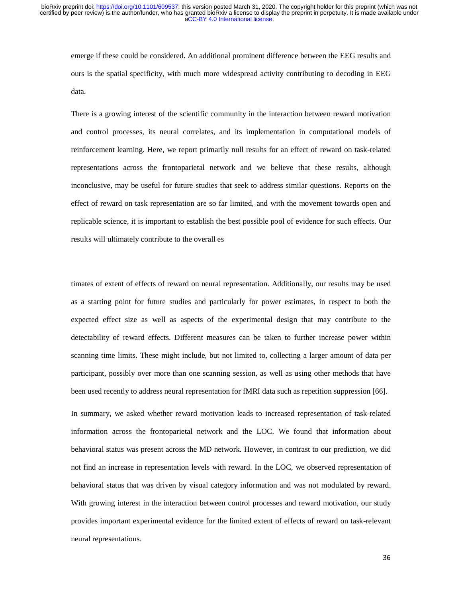emerge if these could be considered. An additional prominent difference between the EEG results and ours is the spatial specificity, with much more widespread activity contributing to decoding in EEG data.

There is a growing interest of the scientific community in the interaction between reward motivation and control processes, its neural correlates, and its implementation in computational models of reinforcement learning. Here, we report primarily null results for an effect of reward on task-related representations across the frontoparietal network and we believe that these results, although inconclusive, may be useful for future studies that seek to address similar questions. Reports on the effect of reward on task representation are so far limited, and with the movement towards open and replicable science, it is important to establish the best possible pool of evidence for such effects. Our results will ultimately contribute to the overall es

timates of extent of effects of reward on neural representation. Additionally, our results may be used as a starting point for future studies and particularly for power estimates, in respect to both the expected effect size as well as aspects of the experimental design that may contribute to the detectability of reward effects. Different measures can be taken to further increase power within scanning time limits. These might include, but not limited to, collecting a larger amount of data per participant, possibly over more than one scanning session, as well as using other methods that have been used recently to address neural representation for fMRI data such as repetition suppression [66].

In summary, we asked whether reward motivation leads to increased representation of task-related information across the frontoparietal network and the LOC. We found that information about behavioral status was present across the MD network. However, in contrast to our prediction, we did not find an increase in representation levels with reward. In the LOC, we observed representation of behavioral status that was driven by visual category information and was not modulated by reward. With growing interest in the interaction between control processes and reward motivation, our study provides important experimental evidence for the limited extent of effects of reward on task-relevant neural representations.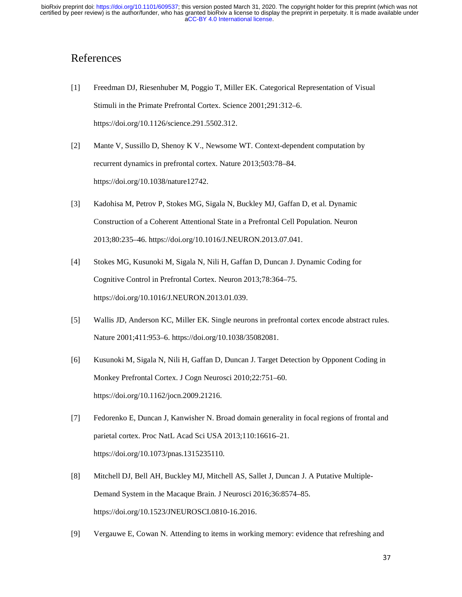# References

- [1] Freedman DJ, Riesenhuber M, Poggio T, Miller EK. Categorical Representation of Visual Stimuli in the Primate Prefrontal Cortex. Science 2001;291:312–6. https://doi.org/10.1126/science.291.5502.312.
- [2] Mante V, Sussillo D, Shenoy K V., Newsome WT. Context-dependent computation by recurrent dynamics in prefrontal cortex. Nature 2013;503:78–84. https://doi.org/10.1038/nature12742.
- [3] Kadohisa M, Petrov P, Stokes MG, Sigala N, Buckley MJ, Gaffan D, et al. Dynamic Construction of a Coherent Attentional State in a Prefrontal Cell Population. Neuron 2013;80:235–46. https://doi.org/10.1016/J.NEURON.2013.07.041.
- [4] Stokes MG, Kusunoki M, Sigala N, Nili H, Gaffan D, Duncan J. Dynamic Coding for Cognitive Control in Prefrontal Cortex. Neuron 2013;78:364–75. https://doi.org/10.1016/J.NEURON.2013.01.039.
- [5] Wallis JD, Anderson KC, Miller EK. Single neurons in prefrontal cortex encode abstract rules. Nature 2001;411:953–6. https://doi.org/10.1038/35082081.
- [6] Kusunoki M, Sigala N, Nili H, Gaffan D, Duncan J. Target Detection by Opponent Coding in Monkey Prefrontal Cortex. J Cogn Neurosci 2010;22:751–60. https://doi.org/10.1162/jocn.2009.21216.
- [7] Fedorenko E, Duncan J, Kanwisher N. Broad domain generality in focal regions of frontal and parietal cortex. Proc NatL Acad Sci USA 2013;110:16616–21. https://doi.org/10.1073/pnas.1315235110.
- [8] Mitchell DJ, Bell AH, Buckley MJ, Mitchell AS, Sallet J, Duncan J. A Putative Multiple-Demand System in the Macaque Brain. J Neurosci 2016;36:8574–85. https://doi.org/10.1523/JNEUROSCI.0810-16.2016.
- [9] Vergauwe E, Cowan N. Attending to items in working memory: evidence that refreshing and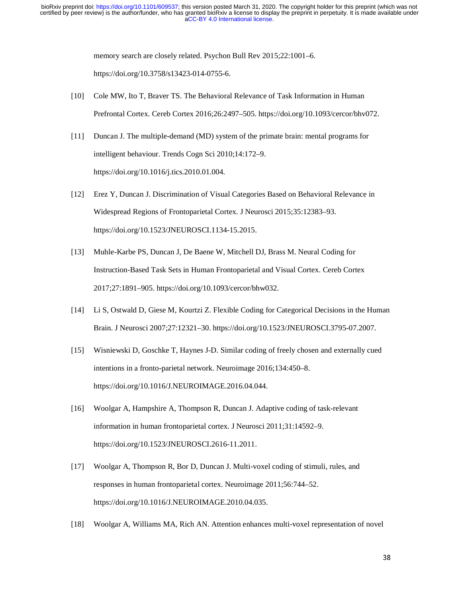memory search are closely related. Psychon Bull Rev 2015;22:1001–6. https://doi.org/10.3758/s13423-014-0755-6.

- [10] Cole MW, Ito T, Braver TS. The Behavioral Relevance of Task Information in Human Prefrontal Cortex. Cereb Cortex 2016;26:2497–505. https://doi.org/10.1093/cercor/bhv072.
- [11] Duncan J. The multiple-demand (MD) system of the primate brain: mental programs for intelligent behaviour. Trends Cogn Sci 2010;14:172–9. https://doi.org/10.1016/j.tics.2010.01.004.
- [12] Erez Y, Duncan J. Discrimination of Visual Categories Based on Behavioral Relevance in Widespread Regions of Frontoparietal Cortex. J Neurosci 2015;35:12383–93. https://doi.org/10.1523/JNEUROSCI.1134-15.2015.
- [13] Muhle-Karbe PS, Duncan J, De Baene W, Mitchell DJ, Brass M. Neural Coding for Instruction-Based Task Sets in Human Frontoparietal and Visual Cortex. Cereb Cortex 2017;27:1891–905. https://doi.org/10.1093/cercor/bhw032.
- [14] Li S, Ostwald D, Giese M, Kourtzi Z. Flexible Coding for Categorical Decisions in the Human Brain. J Neurosci 2007;27:12321–30. https://doi.org/10.1523/JNEUROSCI.3795-07.2007.
- [15] Wisniewski D, Goschke T, Haynes J-D. Similar coding of freely chosen and externally cued intentions in a fronto-parietal network. Neuroimage 2016;134:450–8. https://doi.org/10.1016/J.NEUROIMAGE.2016.04.044.
- [16] Woolgar A, Hampshire A, Thompson R, Duncan J. Adaptive coding of task-relevant information in human frontoparietal cortex. J Neurosci 2011;31:14592–9. https://doi.org/10.1523/JNEUROSCI.2616-11.2011.
- [17] Woolgar A, Thompson R, Bor D, Duncan J. Multi-voxel coding of stimuli, rules, and responses in human frontoparietal cortex. Neuroimage 2011;56:744–52. https://doi.org/10.1016/J.NEUROIMAGE.2010.04.035.
- [18] Woolgar A, Williams MA, Rich AN. Attention enhances multi-voxel representation of novel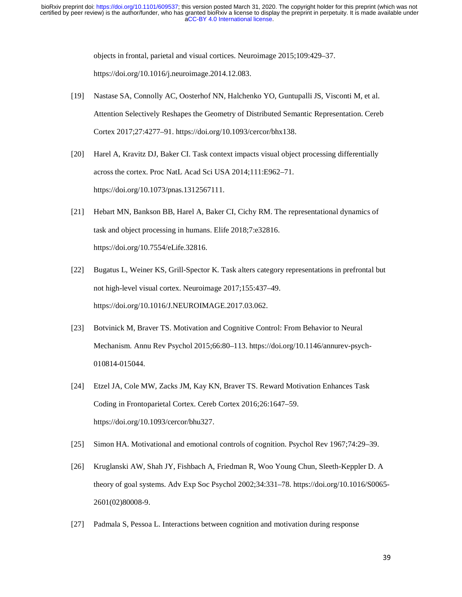objects in frontal, parietal and visual cortices. Neuroimage 2015;109:429–37. https://doi.org/10.1016/j.neuroimage.2014.12.083.

- [19] Nastase SA, Connolly AC, Oosterhof NN, Halchenko YO, Guntupalli JS, Visconti M, et al. Attention Selectively Reshapes the Geometry of Distributed Semantic Representation. Cereb Cortex 2017;27:4277–91. https://doi.org/10.1093/cercor/bhx138.
- [20] Harel A, Kravitz DJ, Baker CI. Task context impacts visual object processing differentially across the cortex. Proc NatL Acad Sci USA 2014;111:E962–71. https://doi.org/10.1073/pnas.1312567111.
- [21] Hebart MN, Bankson BB, Harel A, Baker CI, Cichy RM. The representational dynamics of task and object processing in humans. Elife 2018;7:e32816. https://doi.org/10.7554/eLife.32816.
- [22] Bugatus L, Weiner KS, Grill-Spector K. Task alters category representations in prefrontal but not high-level visual cortex. Neuroimage 2017;155:437–49. https://doi.org/10.1016/J.NEUROIMAGE.2017.03.062.
- [23] Botvinick M, Braver TS. Motivation and Cognitive Control: From Behavior to Neural Mechanism. Annu Rev Psychol 2015;66:80–113. https://doi.org/10.1146/annurev-psych-010814-015044.
- [24] Etzel JA, Cole MW, Zacks JM, Kay KN, Braver TS. Reward Motivation Enhances Task Coding in Frontoparietal Cortex. Cereb Cortex 2016;26:1647–59. https://doi.org/10.1093/cercor/bhu327.
- [25] Simon HA. Motivational and emotional controls of cognition. Psychol Rev 1967;74:29–39.
- [26] Kruglanski AW, Shah JY, Fishbach A, Friedman R, Woo Young Chun, Sleeth-Keppler D. A theory of goal systems. Adv Exp Soc Psychol 2002;34:331–78. https://doi.org/10.1016/S0065- 2601(02)80008-9.
- [27] Padmala S, Pessoa L. Interactions between cognition and motivation during response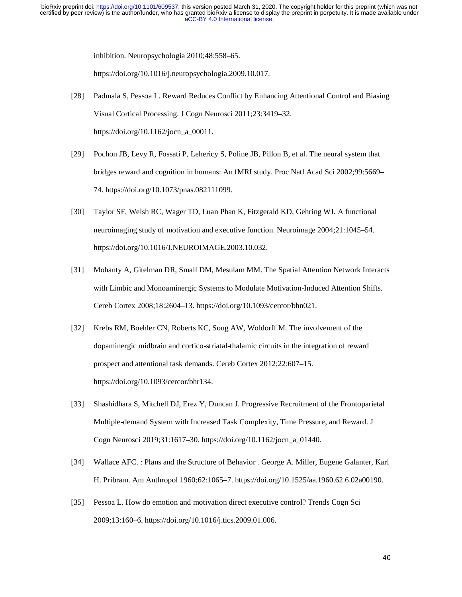inhibition. Neuropsychologia 2010;48:558–65.

https://doi.org/10.1016/j.neuropsychologia.2009.10.017.

- [28] Padmala S, Pessoa L. Reward Reduces Conflict by Enhancing Attentional Control and Biasing Visual Cortical Processing. J Cogn Neurosci 2011;23:3419–32. https://doi.org/10.1162/jocn\_a\_00011.
- [29] Pochon JB, Levy R, Fossati P, Lehericy S, Poline JB, Pillon B, et al. The neural system that bridges reward and cognition in humans: An fMRI study. Proc Natl Acad Sci 2002;99:5669– 74. https://doi.org/10.1073/pnas.082111099.
- [30] Taylor SF, Welsh RC, Wager TD, Luan Phan K, Fitzgerald KD, Gehring WJ. A functional neuroimaging study of motivation and executive function. Neuroimage 2004;21:1045–54. https://doi.org/10.1016/J.NEUROIMAGE.2003.10.032.
- [31] Mohanty A, Gitelman DR, Small DM, Mesulam MM. The Spatial Attention Network Interacts with Limbic and Monoaminergic Systems to Modulate Motivation-Induced Attention Shifts. Cereb Cortex 2008;18:2604–13. https://doi.org/10.1093/cercor/bhn021.
- [32] Krebs RM, Boehler CN, Roberts KC, Song AW, Woldorff M. The involvement of the dopaminergic midbrain and cortico-striatal-thalamic circuits in the integration of reward prospect and attentional task demands. Cereb Cortex 2012;22:607–15. https://doi.org/10.1093/cercor/bhr134.
- [33] Shashidhara S, Mitchell DJ, Erez Y, Duncan J. Progressive Recruitment of the Frontoparietal Multiple-demand System with Increased Task Complexity, Time Pressure, and Reward. J Cogn Neurosci 2019;31:1617–30. https://doi.org/10.1162/jocn\_a\_01440.
- [34] Wallace AFC. : Plans and the Structure of Behavior . George A. Miller, Eugene Galanter, Karl H. Pribram. Am Anthropol 1960;62:1065–7. https://doi.org/10.1525/aa.1960.62.6.02a00190.
- [35] Pessoa L. How do emotion and motivation direct executive control? Trends Cogn Sci 2009;13:160–6. https://doi.org/10.1016/j.tics.2009.01.006.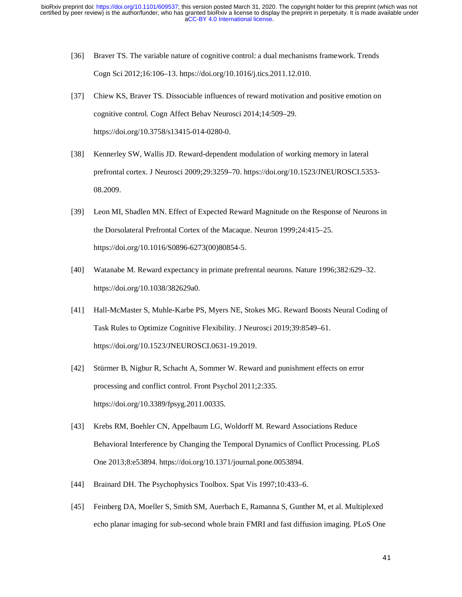- [36] Braver TS. The variable nature of cognitive control: a dual mechanisms framework. Trends Cogn Sci 2012;16:106–13. https://doi.org/10.1016/j.tics.2011.12.010.
- [37] Chiew KS, Braver TS. Dissociable influences of reward motivation and positive emotion on cognitive control. Cogn Affect Behav Neurosci 2014;14:509–29. https://doi.org/10.3758/s13415-014-0280-0.
- [38] Kennerley SW, Wallis JD. Reward-dependent modulation of working memory in lateral prefrontal cortex. J Neurosci 2009;29:3259–70. https://doi.org/10.1523/JNEUROSCI.5353- 08.2009.
- [39] Leon MI, Shadlen MN. Effect of Expected Reward Magnitude on the Response of Neurons in the Dorsolateral Prefrontal Cortex of the Macaque. Neuron 1999;24:415–25. https://doi.org/10.1016/S0896-6273(00)80854-5.
- [40] Watanabe M. Reward expectancy in primate prefrental neurons. Nature 1996;382:629–32. https://doi.org/10.1038/382629a0.
- [41] Hall-McMaster S, Muhle-Karbe PS, Myers NE, Stokes MG. Reward Boosts Neural Coding of Task Rules to Optimize Cognitive Flexibility. J Neurosci 2019;39:8549–61. https://doi.org/10.1523/JNEUROSCI.0631-19.2019.
- [42] Stürmer B, Nigbur R, Schacht A, Sommer W. Reward and punishment effects on error processing and conflict control. Front Psychol 2011;2:335. https://doi.org/10.3389/fpsyg.2011.00335.
- [43] Krebs RM, Boehler CN, Appelbaum LG, Woldorff M. Reward Associations Reduce Behavioral Interference by Changing the Temporal Dynamics of Conflict Processing. PLoS One 2013;8:e53894. https://doi.org/10.1371/journal.pone.0053894.
- [44] Brainard DH. The Psychophysics Toolbox. Spat Vis 1997;10:433-6.
- [45] Feinberg DA, Moeller S, Smith SM, Auerbach E, Ramanna S, Gunther M, et al. Multiplexed echo planar imaging for sub-second whole brain FMRI and fast diffusion imaging. PLoS One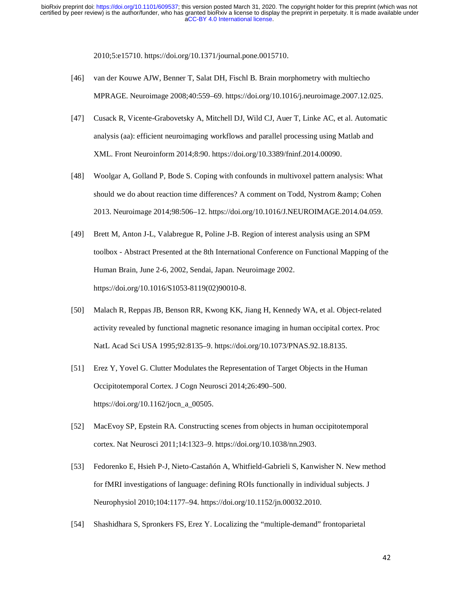2010;5:e15710. https://doi.org/10.1371/journal.pone.0015710.

- [46] van der Kouwe AJW, Benner T, Salat DH, Fischl B. Brain morphometry with multiecho MPRAGE. Neuroimage 2008;40:559–69. https://doi.org/10.1016/j.neuroimage.2007.12.025.
- [47] Cusack R, Vicente-Grabovetsky A, Mitchell DJ, Wild CJ, Auer T, Linke AC, et al. Automatic analysis (aa): efficient neuroimaging workflows and parallel processing using Matlab and XML. Front Neuroinform 2014;8:90. https://doi.org/10.3389/fninf.2014.00090.
- [48] Woolgar A, Golland P, Bode S. Coping with confounds in multivoxel pattern analysis: What should we do about reaction time differences? A comment on Todd, Nystrom & amp; Cohen 2013. Neuroimage 2014;98:506–12. https://doi.org/10.1016/J.NEUROIMAGE.2014.04.059.
- [49] Brett M, Anton J-L, Valabregue R, Poline J-B. Region of interest analysis using an SPM toolbox - Abstract Presented at the 8th International Conference on Functional Mapping of the Human Brain, June 2-6, 2002, Sendai, Japan. Neuroimage 2002. https://doi.org/10.1016/S1053-8119(02)90010-8.
- [50] Malach R, Reppas JB, Benson RR, Kwong KK, Jiang H, Kennedy WA, et al. Object-related activity revealed by functional magnetic resonance imaging in human occipital cortex. Proc NatL Acad Sci USA 1995;92:8135–9. https://doi.org/10.1073/PNAS.92.18.8135.
- [51] Erez Y, Yovel G. Clutter Modulates the Representation of Target Objects in the Human Occipitotemporal Cortex. J Cogn Neurosci 2014;26:490–500. https://doi.org/10.1162/jocn\_a\_00505.
- [52] MacEvoy SP, Epstein RA. Constructing scenes from objects in human occipitotemporal cortex. Nat Neurosci 2011;14:1323–9. https://doi.org/10.1038/nn.2903.
- [53] Fedorenko E, Hsieh P-J, Nieto-Castañón A, Whitfield-Gabrieli S, Kanwisher N. New method for fMRI investigations of language: defining ROIs functionally in individual subjects. J Neurophysiol 2010;104:1177–94. https://doi.org/10.1152/jn.00032.2010.
- [54] Shashidhara S, Spronkers FS, Erez Y. Localizing the "multiple-demand" frontoparietal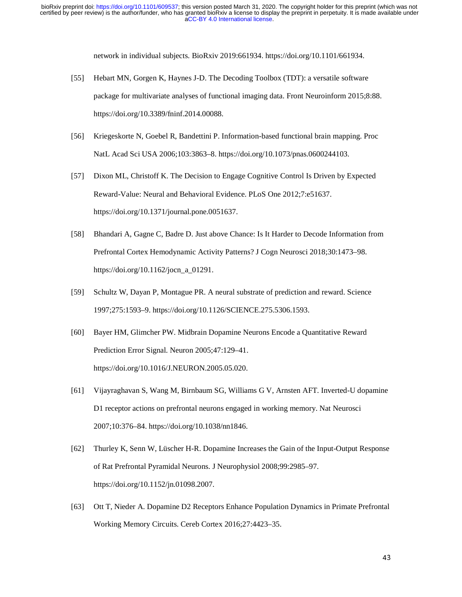network in individual subjects. BioRxiv 2019:661934. https://doi.org/10.1101/661934.

- [55] Hebart MN, Gorgen K, Haynes J-D. The Decoding Toolbox (TDT): a versatile software package for multivariate analyses of functional imaging data. Front Neuroinform 2015;8:88. https://doi.org/10.3389/fninf.2014.00088.
- [56] Kriegeskorte N, Goebel R, Bandettini P. Information-based functional brain mapping. Proc NatL Acad Sci USA 2006;103:3863–8. https://doi.org/10.1073/pnas.0600244103.
- [57] Dixon ML, Christoff K. The Decision to Engage Cognitive Control Is Driven by Expected Reward-Value: Neural and Behavioral Evidence. PLoS One 2012;7:e51637. https://doi.org/10.1371/journal.pone.0051637.
- [58] Bhandari A, Gagne C, Badre D. Just above Chance: Is It Harder to Decode Information from Prefrontal Cortex Hemodynamic Activity Patterns? J Cogn Neurosci 2018;30:1473–98. https://doi.org/10.1162/jocn\_a\_01291.
- [59] Schultz W, Dayan P, Montague PR. A neural substrate of prediction and reward. Science 1997;275:1593–9. https://doi.org/10.1126/SCIENCE.275.5306.1593.
- [60] Bayer HM, Glimcher PW. Midbrain Dopamine Neurons Encode a Quantitative Reward Prediction Error Signal. Neuron 2005;47:129–41. https://doi.org/10.1016/J.NEURON.2005.05.020.
- [61] Vijayraghavan S, Wang M, Birnbaum SG, Williams G V, Arnsten AFT. Inverted-U dopamine D1 receptor actions on prefrontal neurons engaged in working memory. Nat Neurosci 2007;10:376–84. https://doi.org/10.1038/nn1846.
- [62] Thurley K, Senn W, Lüscher H-R. Dopamine Increases the Gain of the Input-Output Response of Rat Prefrontal Pyramidal Neurons. J Neurophysiol 2008;99:2985–97. https://doi.org/10.1152/jn.01098.2007.
- [63] Ott T, Nieder A. Dopamine D2 Receptors Enhance Population Dynamics in Primate Prefrontal Working Memory Circuits. Cereb Cortex 2016;27:4423–35.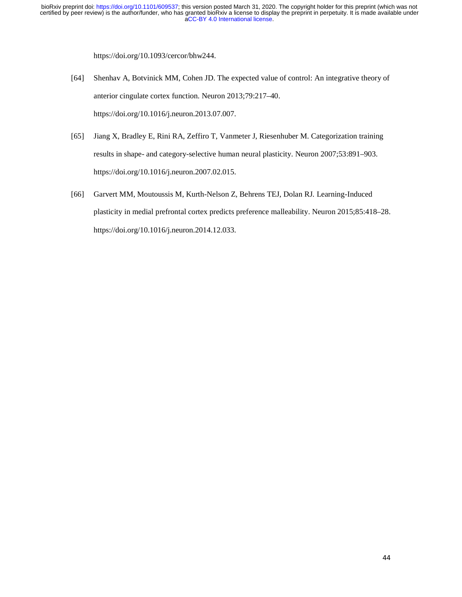https://doi.org/10.1093/cercor/bhw244.

- [64] Shenhav A, Botvinick MM, Cohen JD. The expected value of control: An integrative theory of anterior cingulate cortex function. Neuron 2013;79:217–40. https://doi.org/10.1016/j.neuron.2013.07.007.
- [65] Jiang X, Bradley E, Rini RA, Zeffiro T, Vanmeter J, Riesenhuber M. Categorization training results in shape- and category-selective human neural plasticity. Neuron 2007;53:891–903. https://doi.org/10.1016/j.neuron.2007.02.015.
- [66] Garvert MM, Moutoussis M, Kurth-Nelson Z, Behrens TEJ, Dolan RJ. Learning-Induced plasticity in medial prefrontal cortex predicts preference malleability. Neuron 2015;85:418–28. https://doi.org/10.1016/j.neuron.2014.12.033.